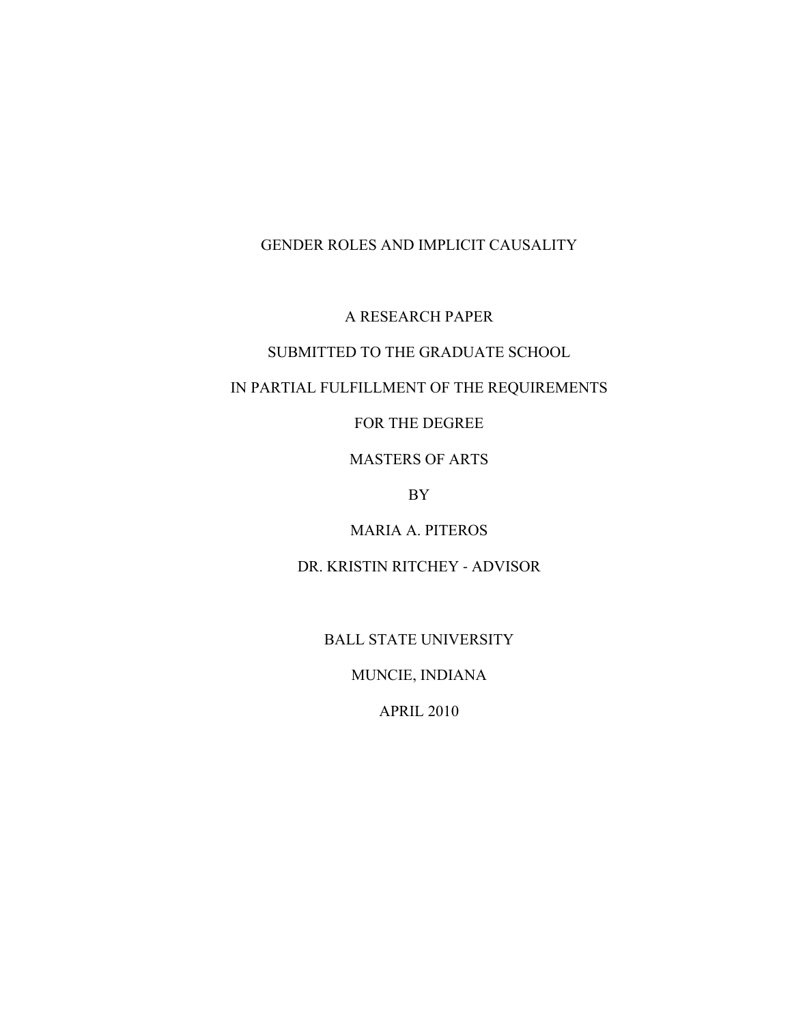A RESEARCH PAPER

# SUBMITTED TO THE GRADUATE SCHOOL

# IN PARTIAL FULFILLMENT OF THE REQUIREMENTS

FOR THE DEGREE

MASTERS OF ARTS

BY

MARIA A. PITEROS

DR. KRISTIN RITCHEY - ADVISOR

BALL STATE UNIVERSITY

MUNCIE, INDIANA

APRIL 2010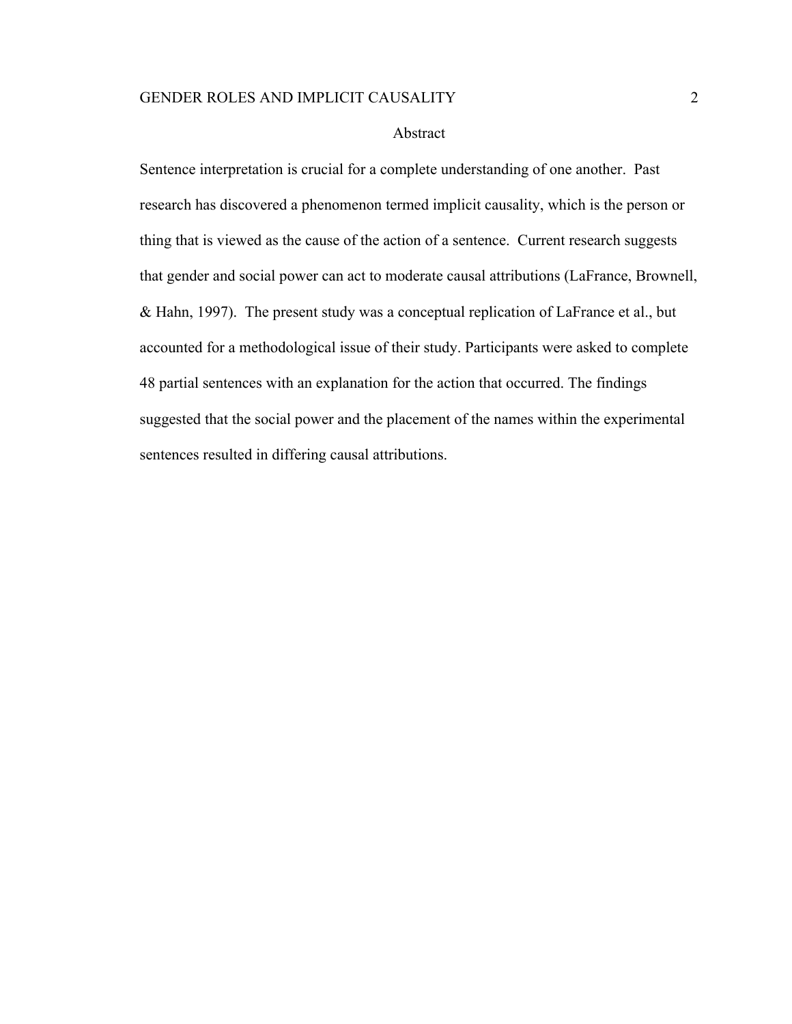#### Abstract

Sentence interpretation is crucial for a complete understanding of one another. Past research has discovered a phenomenon termed implicit causality, which is the person or thing that is viewed as the cause of the action of a sentence. Current research suggests that gender and social power can act to moderate causal attributions (LaFrance, Brownell, & Hahn, 1997). The present study was a conceptual replication of LaFrance et al., but accounted for a methodological issue of their study. Participants were asked to complete 48 partial sentences with an explanation for the action that occurred. The findings suggested that the social power and the placement of the names within the experimental sentences resulted in differing causal attributions.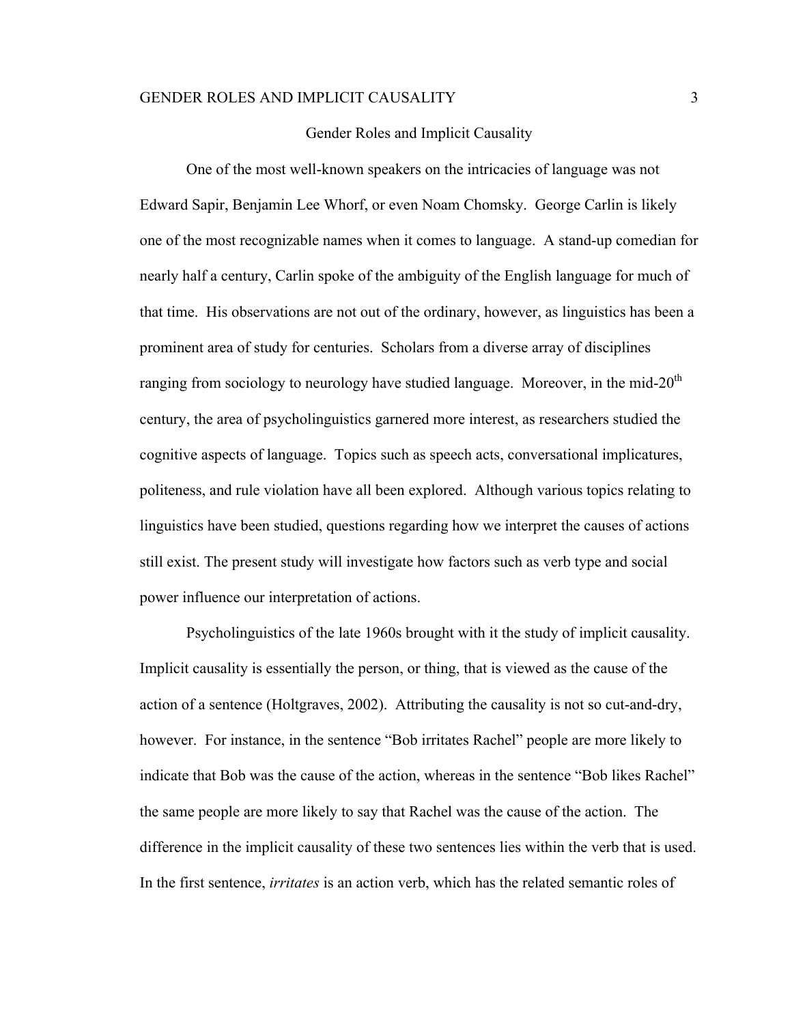### Gender Roles and Implicit Causality

One of the most well-known speakers on the intricacies of language was not Edward Sapir, Benjamin Lee Whorf, or even Noam Chomsky. George Carlin is likely one of the most recognizable names when it comes to language. A stand-up comedian for nearly half a century, Carlin spoke of the ambiguity of the English language for much of that time. His observations are not out of the ordinary, however, as linguistics has been a prominent area of study for centuries. Scholars from a diverse array of disciplines ranging from sociology to neurology have studied language. Moreover, in the mid- $20<sup>th</sup>$ century, the area of psycholinguistics garnered more interest, as researchers studied the cognitive aspects of language. Topics such as speech acts, conversational implicatures, politeness, and rule violation have all been explored. Although various topics relating to linguistics have been studied, questions regarding how we interpret the causes of actions still exist. The present study will investigate how factors such as verb type and social power influence our interpretation of actions.

Psycholinguistics of the late 1960s brought with it the study of implicit causality. Implicit causality is essentially the person, or thing, that is viewed as the cause of the action of a sentence (Holtgraves, 2002). Attributing the causality is not so cut-and-dry, however. For instance, in the sentence "Bob irritates Rachel" people are more likely to indicate that Bob was the cause of the action, whereas in the sentence "Bob likes Rachel" the same people are more likely to say that Rachel was the cause of the action. The difference in the implicit causality of these two sentences lies within the verb that is used. In the first sentence, *irritates* is an action verb, which has the related semantic roles of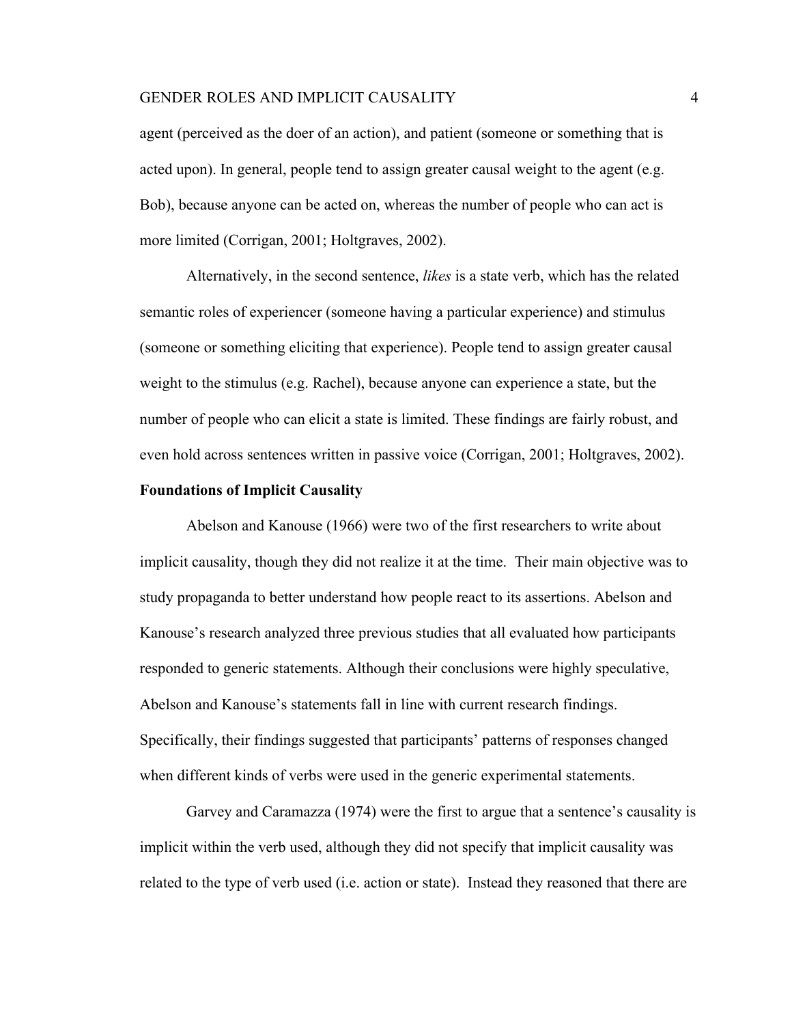agent (perceived as the doer of an action), and patient (someone or something that is acted upon). In general, people tend to assign greater causal weight to the agent (e.g. Bob), because anyone can be acted on, whereas the number of people who can act is more limited (Corrigan, 2001; Holtgraves, 2002).

Alternatively, in the second sentence, *likes* is a state verb, which has the related semantic roles of experiencer (someone having a particular experience) and stimulus (someone or something eliciting that experience). People tend to assign greater causal weight to the stimulus (e.g. Rachel), because anyone can experience a state, but the number of people who can elicit a state is limited. These findings are fairly robust, and even hold across sentences written in passive voice (Corrigan, 2001; Holtgraves, 2002).

# **Foundations of Implicit Causality**

Abelson and Kanouse (1966) were two of the first researchers to write about implicit causality, though they did not realize it at the time. Their main objective was to study propaganda to better understand how people react to its assertions. Abelson and Kanouse's research analyzed three previous studies that all evaluated how participants responded to generic statements. Although their conclusions were highly speculative, Abelson and Kanouse's statements fall in line with current research findings. Specifically, their findings suggested that participants' patterns of responses changed when different kinds of verbs were used in the generic experimental statements.

Garvey and Caramazza (1974) were the first to argue that a sentence's causality is implicit within the verb used, although they did not specify that implicit causality was related to the type of verb used (i.e. action or state). Instead they reasoned that there are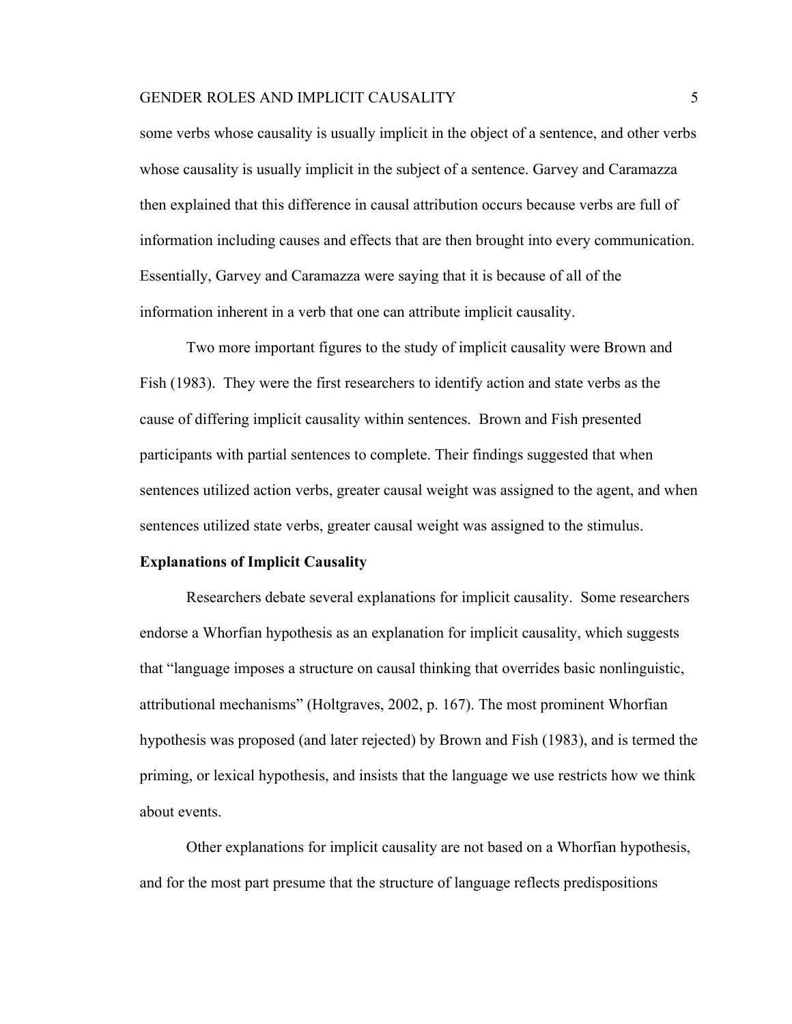some verbs whose causality is usually implicit in the object of a sentence, and other verbs whose causality is usually implicit in the subject of a sentence. Garvey and Caramazza then explained that this difference in causal attribution occurs because verbs are full of information including causes and effects that are then brought into every communication. Essentially, Garvey and Caramazza were saying that it is because of all of the information inherent in a verb that one can attribute implicit causality.

Two more important figures to the study of implicit causality were Brown and Fish (1983). They were the first researchers to identify action and state verbs as the cause of differing implicit causality within sentences. Brown and Fish presented participants with partial sentences to complete. Their findings suggested that when sentences utilized action verbs, greater causal weight was assigned to the agent, and when sentences utilized state verbs, greater causal weight was assigned to the stimulus.

# **Explanations of Implicit Causality**

Researchers debate several explanations for implicit causality. Some researchers endorse a Whorfian hypothesis as an explanation for implicit causality, which suggests that "language imposes a structure on causal thinking that overrides basic nonlinguistic, attributional mechanisms" (Holtgraves, 2002, p. 167). The most prominent Whorfian hypothesis was proposed (and later rejected) by Brown and Fish (1983), and is termed the priming, or lexical hypothesis, and insists that the language we use restricts how we think about events.

Other explanations for implicit causality are not based on a Whorfian hypothesis, and for the most part presume that the structure of language reflects predispositions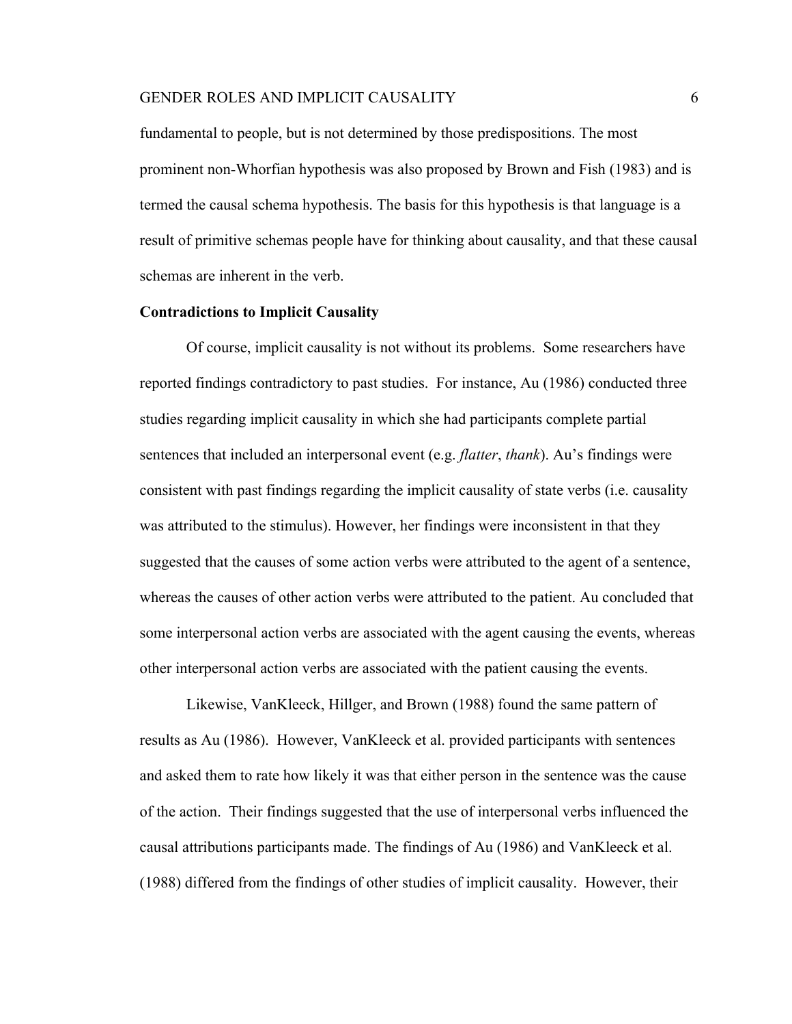fundamental to people, but is not determined by those predispositions. The most prominent non-Whorfian hypothesis was also proposed by Brown and Fish (1983) and is termed the causal schema hypothesis. The basis for this hypothesis is that language is a result of primitive schemas people have for thinking about causality, and that these causal schemas are inherent in the verb.

# **Contradictions to Implicit Causality**

Of course, implicit causality is not without its problems. Some researchers have reported findings contradictory to past studies. For instance, Au (1986) conducted three studies regarding implicit causality in which she had participants complete partial sentences that included an interpersonal event (e.g. *flatter*, *thank*). Au's findings were consistent with past findings regarding the implicit causality of state verbs (i.e. causality was attributed to the stimulus). However, her findings were inconsistent in that they suggested that the causes of some action verbs were attributed to the agent of a sentence, whereas the causes of other action verbs were attributed to the patient. Au concluded that some interpersonal action verbs are associated with the agent causing the events, whereas other interpersonal action verbs are associated with the patient causing the events.

Likewise, VanKleeck, Hillger, and Brown (1988) found the same pattern of results as Au (1986). However, VanKleeck et al. provided participants with sentences and asked them to rate how likely it was that either person in the sentence was the cause of the action. Their findings suggested that the use of interpersonal verbs influenced the causal attributions participants made. The findings of Au (1986) and VanKleeck et al. (1988) differed from the findings of other studies of implicit causality. However, their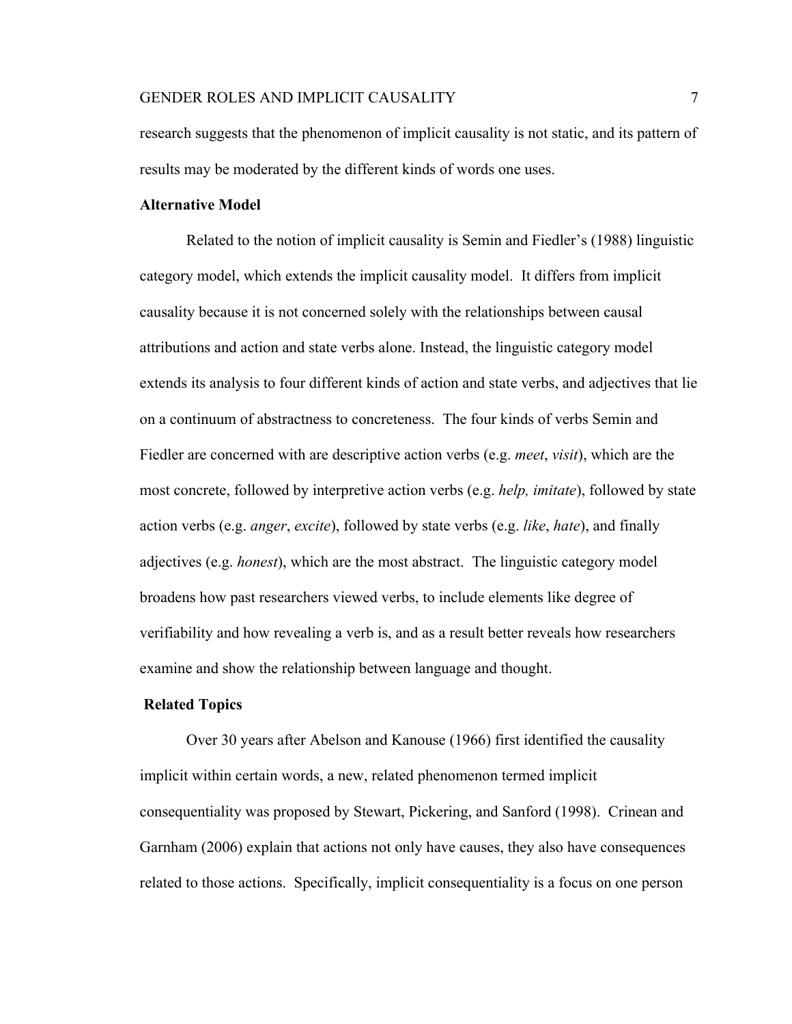research suggests that the phenomenon of implicit causality is not static, and its pattern of results may be moderated by the different kinds of words one uses.

#### **Alternative Model**

Related to the notion of implicit causality is Semin and Fiedler's (1988) linguistic category model, which extends the implicit causality model. It differs from implicit causality because it is not concerned solely with the relationships between causal attributions and action and state verbs alone. Instead, the linguistic category model extends its analysis to four different kinds of action and state verbs, and adjectives that lie on a continuum of abstractness to concreteness. The four kinds of verbs Semin and Fiedler are concerned with are descriptive action verbs (e.g. *meet*, *visit*), which are the most concrete, followed by interpretive action verbs (e.g. *help, imitate*), followed by state action verbs (e.g. *anger*, *excite*), followed by state verbs (e.g. *like*, *hate*), and finally adjectives (e.g. *honest*), which are the most abstract. The linguistic category model broadens how past researchers viewed verbs, to include elements like degree of verifiability and how revealing a verb is, and as a result better reveals how researchers examine and show the relationship between language and thought.

# **Related Topics**

Over 30 years after Abelson and Kanouse (1966) first identified the causality implicit within certain words, a new, related phenomenon termed implicit consequentiality was proposed by Stewart, Pickering, and Sanford (1998). Crinean and Garnham (2006) explain that actions not only have causes, they also have consequences related to those actions. Specifically, implicit consequentiality is a focus on one person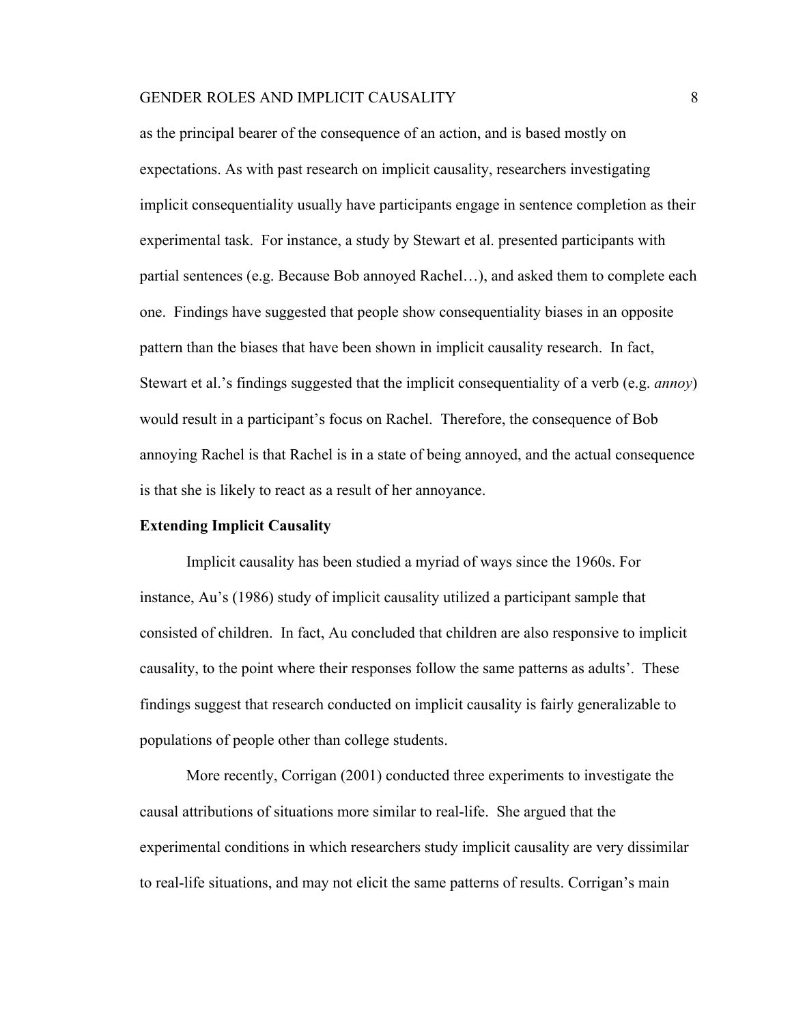as the principal bearer of the consequence of an action, and is based mostly on expectations. As with past research on implicit causality, researchers investigating implicit consequentiality usually have participants engage in sentence completion as their experimental task. For instance, a study by Stewart et al. presented participants with partial sentences (e.g. Because Bob annoyed Rachel…), and asked them to complete each one. Findings have suggested that people show consequentiality biases in an opposite pattern than the biases that have been shown in implicit causality research. In fact, Stewart et al.'s findings suggested that the implicit consequentiality of a verb (e.g. *annoy*) would result in a participant's focus on Rachel. Therefore, the consequence of Bob annoying Rachel is that Rachel is in a state of being annoyed, and the actual consequence is that she is likely to react as a result of her annoyance.

# **Extending Implicit Causality**

Implicit causality has been studied a myriad of ways since the 1960s. For instance, Au's (1986) study of implicit causality utilized a participant sample that consisted of children. In fact, Au concluded that children are also responsive to implicit causality, to the point where their responses follow the same patterns as adults'. These findings suggest that research conducted on implicit causality is fairly generalizable to populations of people other than college students.

More recently, Corrigan (2001) conducted three experiments to investigate the causal attributions of situations more similar to real-life. She argued that the experimental conditions in which researchers study implicit causality are very dissimilar to real-life situations, and may not elicit the same patterns of results. Corrigan's main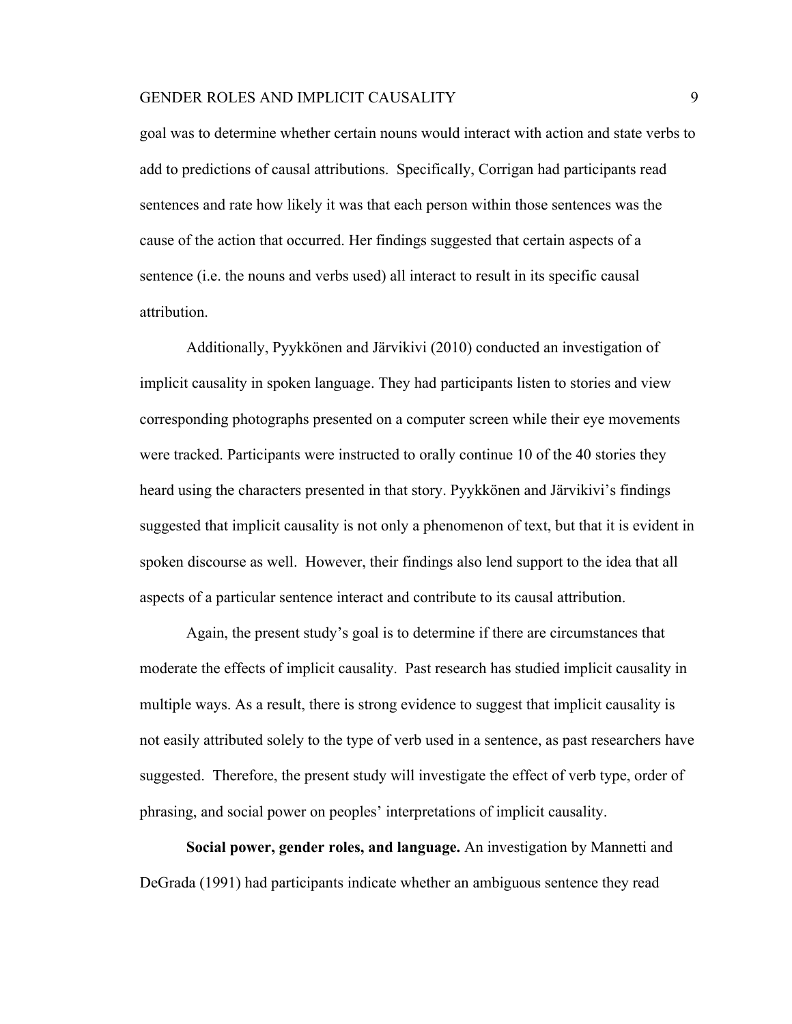goal was to determine whether certain nouns would interact with action and state verbs to add to predictions of causal attributions. Specifically, Corrigan had participants read sentences and rate how likely it was that each person within those sentences was the cause of the action that occurred. Her findings suggested that certain aspects of a sentence (i.e. the nouns and verbs used) all interact to result in its specific causal attribution.

Additionally, Pyykkönen and Järvikivi (2010) conducted an investigation of implicit causality in spoken language. They had participants listen to stories and view corresponding photographs presented on a computer screen while their eye movements were tracked. Participants were instructed to orally continue 10 of the 40 stories they heard using the characters presented in that story. Pyykkönen and Järvikivi's findings suggested that implicit causality is not only a phenomenon of text, but that it is evident in spoken discourse as well. However, their findings also lend support to the idea that all aspects of a particular sentence interact and contribute to its causal attribution.

Again, the present study's goal is to determine if there are circumstances that moderate the effects of implicit causality. Past research has studied implicit causality in multiple ways. As a result, there is strong evidence to suggest that implicit causality is not easily attributed solely to the type of verb used in a sentence, as past researchers have suggested. Therefore, the present study will investigate the effect of verb type, order of phrasing, and social power on peoples' interpretations of implicit causality.

**Social power, gender roles, and language.** An investigation by Mannetti and DeGrada (1991) had participants indicate whether an ambiguous sentence they read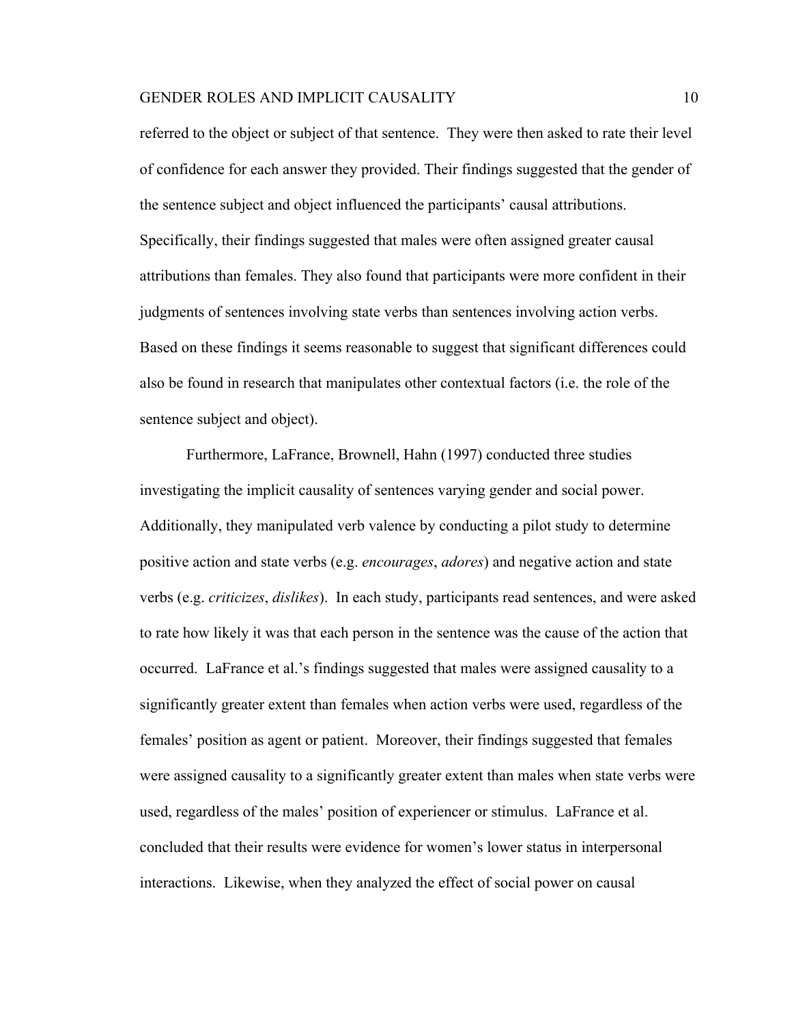referred to the object or subject of that sentence. They were then asked to rate their level of confidence for each answer they provided. Their findings suggested that the gender of the sentence subject and object influenced the participants' causal attributions. Specifically, their findings suggested that males were often assigned greater causal attributions than females. They also found that participants were more confident in their judgments of sentences involving state verbs than sentences involving action verbs. Based on these findings it seems reasonable to suggest that significant differences could also be found in research that manipulates other contextual factors (i.e. the role of the sentence subject and object).

Furthermore, LaFrance, Brownell, Hahn (1997) conducted three studies investigating the implicit causality of sentences varying gender and social power. Additionally, they manipulated verb valence by conducting a pilot study to determine positive action and state verbs (e.g. *encourages*, *adores*) and negative action and state verbs (e.g. *criticizes*, *dislikes*). In each study, participants read sentences, and were asked to rate how likely it was that each person in the sentence was the cause of the action that occurred. LaFrance et al.'s findings suggested that males were assigned causality to a significantly greater extent than females when action verbs were used, regardless of the females' position as agent or patient. Moreover, their findings suggested that females were assigned causality to a significantly greater extent than males when state verbs were used, regardless of the males' position of experiencer or stimulus. LaFrance et al. concluded that their results were evidence for women's lower status in interpersonal interactions. Likewise, when they analyzed the effect of social power on causal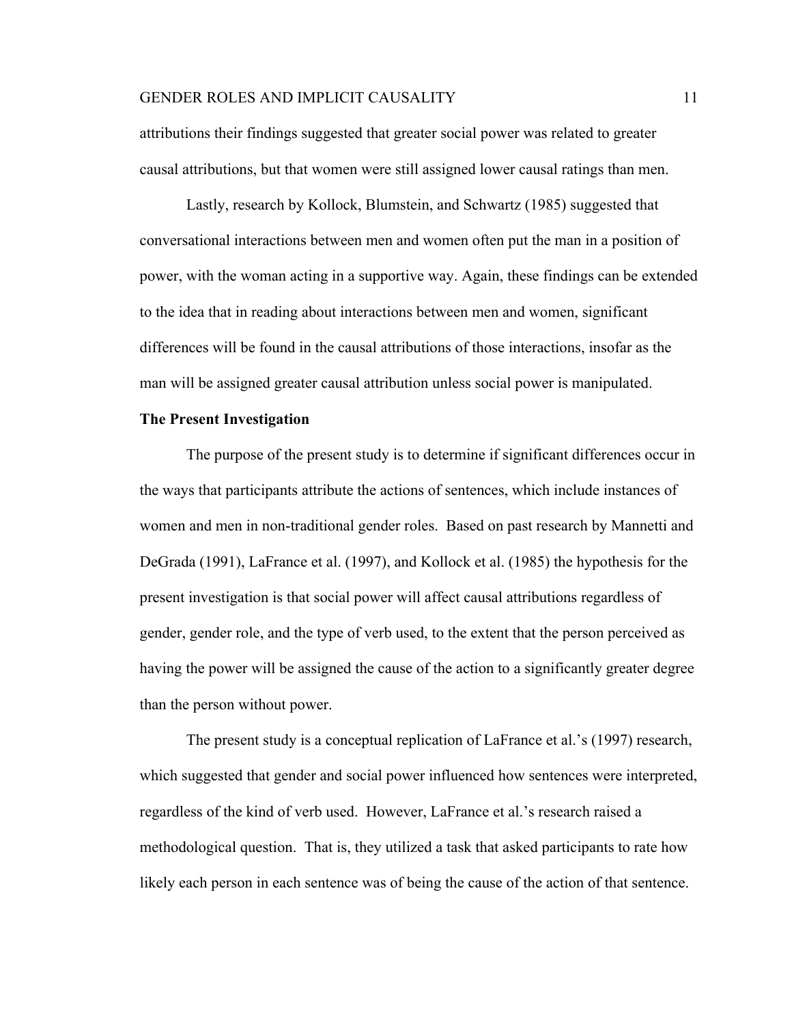attributions their findings suggested that greater social power was related to greater causal attributions, but that women were still assigned lower causal ratings than men.

Lastly, research by Kollock, Blumstein, and Schwartz (1985) suggested that conversational interactions between men and women often put the man in a position of power, with the woman acting in a supportive way. Again, these findings can be extended to the idea that in reading about interactions between men and women, significant differences will be found in the causal attributions of those interactions, insofar as the man will be assigned greater causal attribution unless social power is manipulated.

# **The Present Investigation**

The purpose of the present study is to determine if significant differences occur in the ways that participants attribute the actions of sentences, which include instances of women and men in non-traditional gender roles. Based on past research by Mannetti and DeGrada (1991), LaFrance et al. (1997), and Kollock et al. (1985) the hypothesis for the present investigation is that social power will affect causal attributions regardless of gender, gender role, and the type of verb used, to the extent that the person perceived as having the power will be assigned the cause of the action to a significantly greater degree than the person without power.

The present study is a conceptual replication of LaFrance et al.'s (1997) research, which suggested that gender and social power influenced how sentences were interpreted, regardless of the kind of verb used. However, LaFrance et al.'s research raised a methodological question. That is, they utilized a task that asked participants to rate how likely each person in each sentence was of being the cause of the action of that sentence.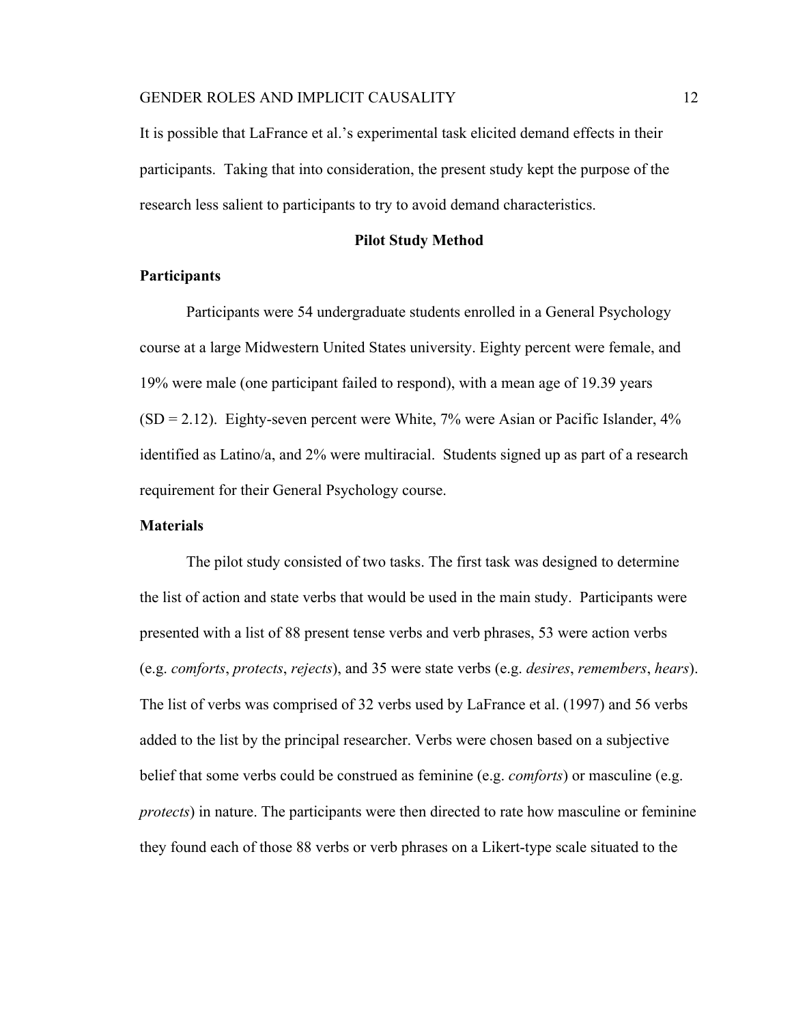It is possible that LaFrance et al.'s experimental task elicited demand effects in their participants. Taking that into consideration, the present study kept the purpose of the research less salient to participants to try to avoid demand characteristics.

### **Pilot Study Method**

# **Participants**

Participants were 54 undergraduate students enrolled in a General Psychology course at a large Midwestern United States university. Eighty percent were female, and 19% were male (one participant failed to respond), with a mean age of 19.39 years  $(SD = 2.12)$ . Eighty-seven percent were White, 7% were Asian or Pacific Islander, 4% identified as Latino/a, and 2% were multiracial. Students signed up as part of a research requirement for their General Psychology course.

# **Materials**

The pilot study consisted of two tasks. The first task was designed to determine the list of action and state verbs that would be used in the main study. Participants were presented with a list of 88 present tense verbs and verb phrases, 53 were action verbs (e.g. *comforts*, *protects*, *rejects*), and 35 were state verbs (e.g. *desires*, *remembers*, *hears*). The list of verbs was comprised of 32 verbs used by LaFrance et al. (1997) and 56 verbs added to the list by the principal researcher. Verbs were chosen based on a subjective belief that some verbs could be construed as feminine (e.g. *comforts*) or masculine (e.g. *protects*) in nature. The participants were then directed to rate how masculine or feminine they found each of those 88 verbs or verb phrases on a Likert-type scale situated to the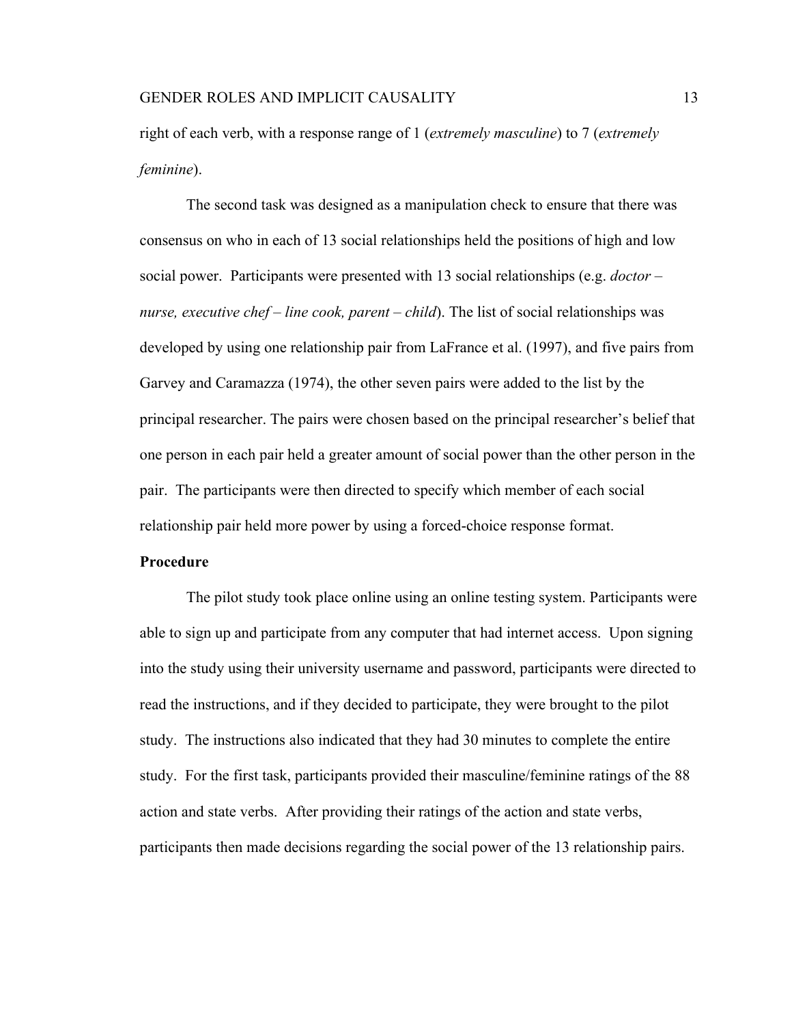right of each verb, with a response range of 1 (*extremely masculine*) to 7 (*extremely feminine*).

The second task was designed as a manipulation check to ensure that there was consensus on who in each of 13 social relationships held the positions of high and low social power. Participants were presented with 13 social relationships (e.g. *doctor – nurse, executive chef – line cook, parent – child*). The list of social relationships was developed by using one relationship pair from LaFrance et al. (1997), and five pairs from Garvey and Caramazza (1974), the other seven pairs were added to the list by the principal researcher. The pairs were chosen based on the principal researcher's belief that one person in each pair held a greater amount of social power than the other person in the pair. The participants were then directed to specify which member of each social relationship pair held more power by using a forced-choice response format.

## **Procedure**

The pilot study took place online using an online testing system. Participants were able to sign up and participate from any computer that had internet access. Upon signing into the study using their university username and password, participants were directed to read the instructions, and if they decided to participate, they were brought to the pilot study. The instructions also indicated that they had 30 minutes to complete the entire study. For the first task, participants provided their masculine/feminine ratings of the 88 action and state verbs. After providing their ratings of the action and state verbs, participants then made decisions regarding the social power of the 13 relationship pairs.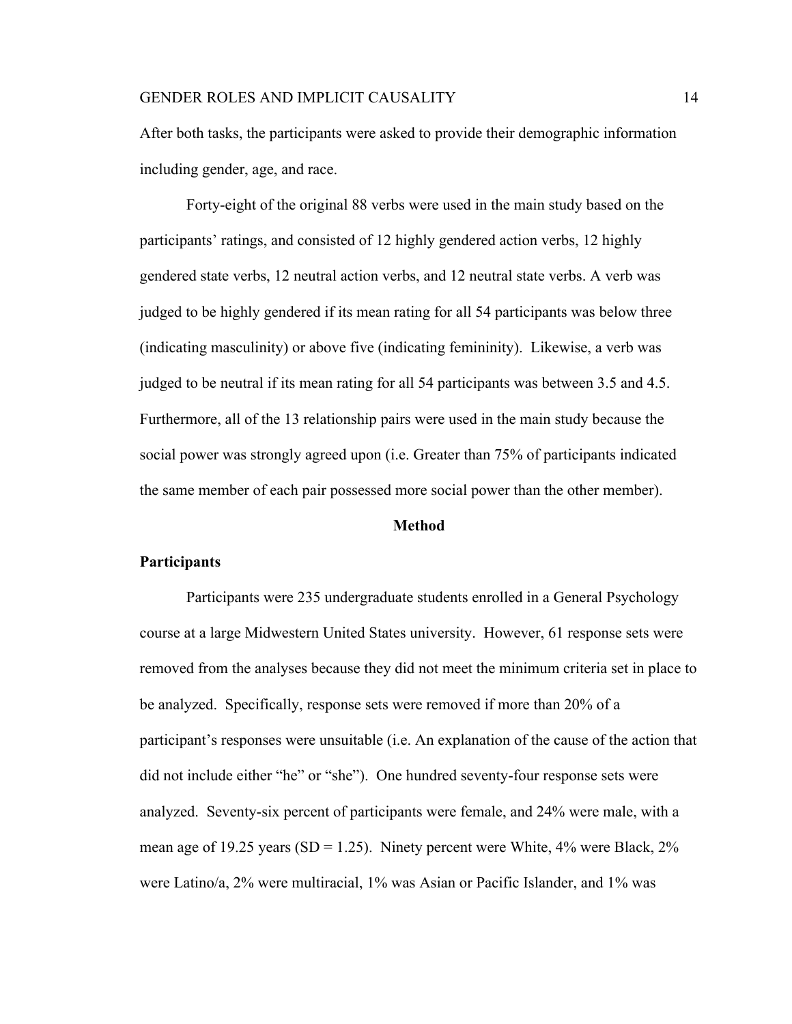After both tasks, the participants were asked to provide their demographic information including gender, age, and race.

Forty-eight of the original 88 verbs were used in the main study based on the participants' ratings, and consisted of 12 highly gendered action verbs, 12 highly gendered state verbs, 12 neutral action verbs, and 12 neutral state verbs. A verb was judged to be highly gendered if its mean rating for all 54 participants was below three (indicating masculinity) or above five (indicating femininity). Likewise, a verb was judged to be neutral if its mean rating for all 54 participants was between 3.5 and 4.5. Furthermore, all of the 13 relationship pairs were used in the main study because the social power was strongly agreed upon (i.e. Greater than 75% of participants indicated the same member of each pair possessed more social power than the other member).

#### **Method**

## **Participants**

Participants were 235 undergraduate students enrolled in a General Psychology course at a large Midwestern United States university. However, 61 response sets were removed from the analyses because they did not meet the minimum criteria set in place to be analyzed. Specifically, response sets were removed if more than 20% of a participant's responses were unsuitable (i.e. An explanation of the cause of the action that did not include either "he" or "she"). One hundred seventy-four response sets were analyzed. Seventy-six percent of participants were female, and 24% were male, with a mean age of 19.25 years (SD = 1.25). Ninety percent were White,  $4\%$  were Black,  $2\%$ were Latino/a, 2% were multiracial, 1% was Asian or Pacific Islander, and 1% was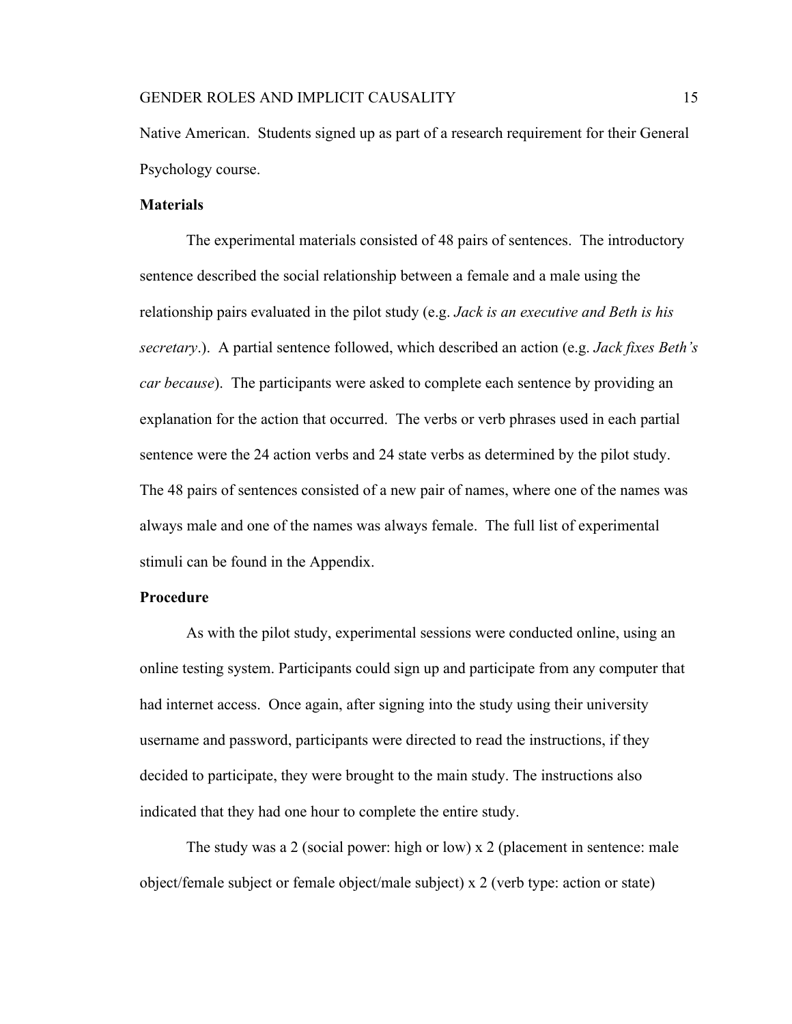Native American. Students signed up as part of a research requirement for their General Psychology course.

### **Materials**

The experimental materials consisted of 48 pairs of sentences. The introductory sentence described the social relationship between a female and a male using the relationship pairs evaluated in the pilot study (e.g. *Jack is an executive and Beth is his secretary*.). A partial sentence followed, which described an action (e.g. *Jack fixes Beth's car because*). The participants were asked to complete each sentence by providing an explanation for the action that occurred. The verbs or verb phrases used in each partial sentence were the 24 action verbs and 24 state verbs as determined by the pilot study. The 48 pairs of sentences consisted of a new pair of names, where one of the names was always male and one of the names was always female. The full list of experimental stimuli can be found in the Appendix.

# **Procedure**

As with the pilot study, experimental sessions were conducted online, using an online testing system. Participants could sign up and participate from any computer that had internet access. Once again, after signing into the study using their university username and password, participants were directed to read the instructions, if they decided to participate, they were brought to the main study. The instructions also indicated that they had one hour to complete the entire study.

The study was a 2 (social power: high or low) x 2 (placement in sentence: male object/female subject or female object/male subject) x 2 (verb type: action or state)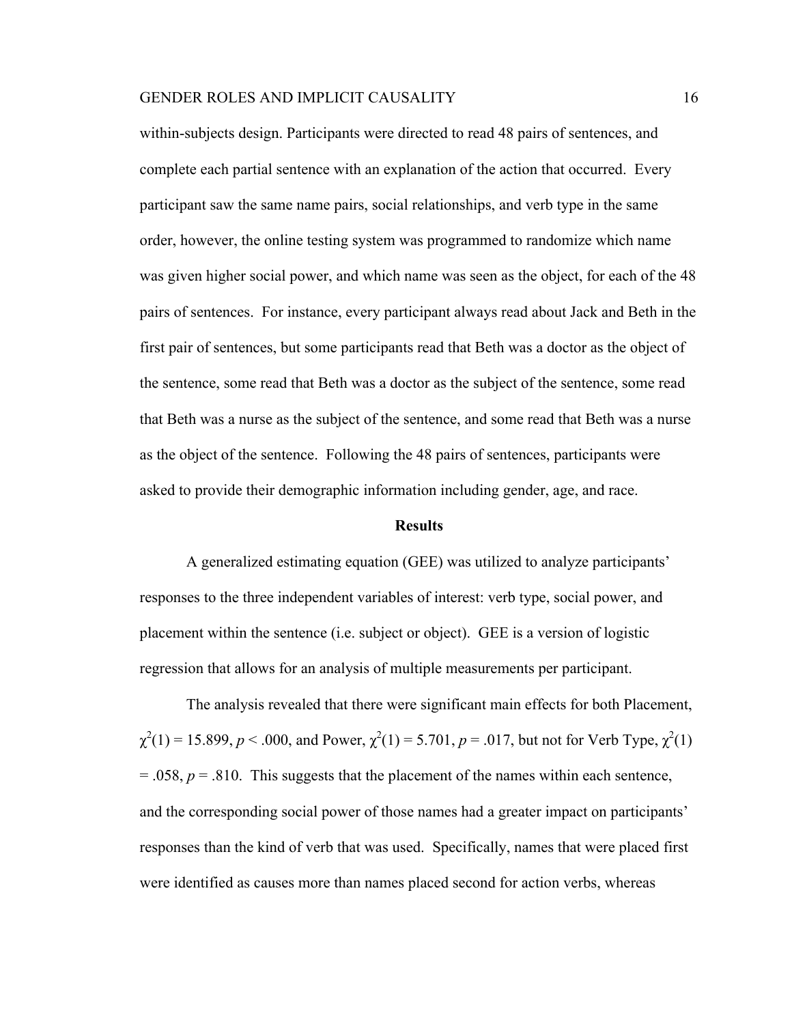within-subjects design. Participants were directed to read 48 pairs of sentences, and complete each partial sentence with an explanation of the action that occurred. Every participant saw the same name pairs, social relationships, and verb type in the same order, however, the online testing system was programmed to randomize which name was given higher social power, and which name was seen as the object, for each of the 48 pairs of sentences. For instance, every participant always read about Jack and Beth in the first pair of sentences, but some participants read that Beth was a doctor as the object of the sentence, some read that Beth was a doctor as the subject of the sentence, some read that Beth was a nurse as the subject of the sentence, and some read that Beth was a nurse as the object of the sentence. Following the 48 pairs of sentences, participants were asked to provide their demographic information including gender, age, and race.

#### **Results**

A generalized estimating equation (GEE) was utilized to analyze participants' responses to the three independent variables of interest: verb type, social power, and placement within the sentence (i.e. subject or object). GEE is a version of logistic regression that allows for an analysis of multiple measurements per participant.

The analysis revealed that there were significant main effects for both Placement,  $\chi^2(1) = 15.899$ ,  $p < .000$ , and Power,  $\chi^2(1) = 5.701$ ,  $p = .017$ , but not for Verb Type,  $\chi^2(1)$  $= .058$ ,  $p = .810$ . This suggests that the placement of the names within each sentence, and the corresponding social power of those names had a greater impact on participants' responses than the kind of verb that was used. Specifically, names that were placed first were identified as causes more than names placed second for action verbs, whereas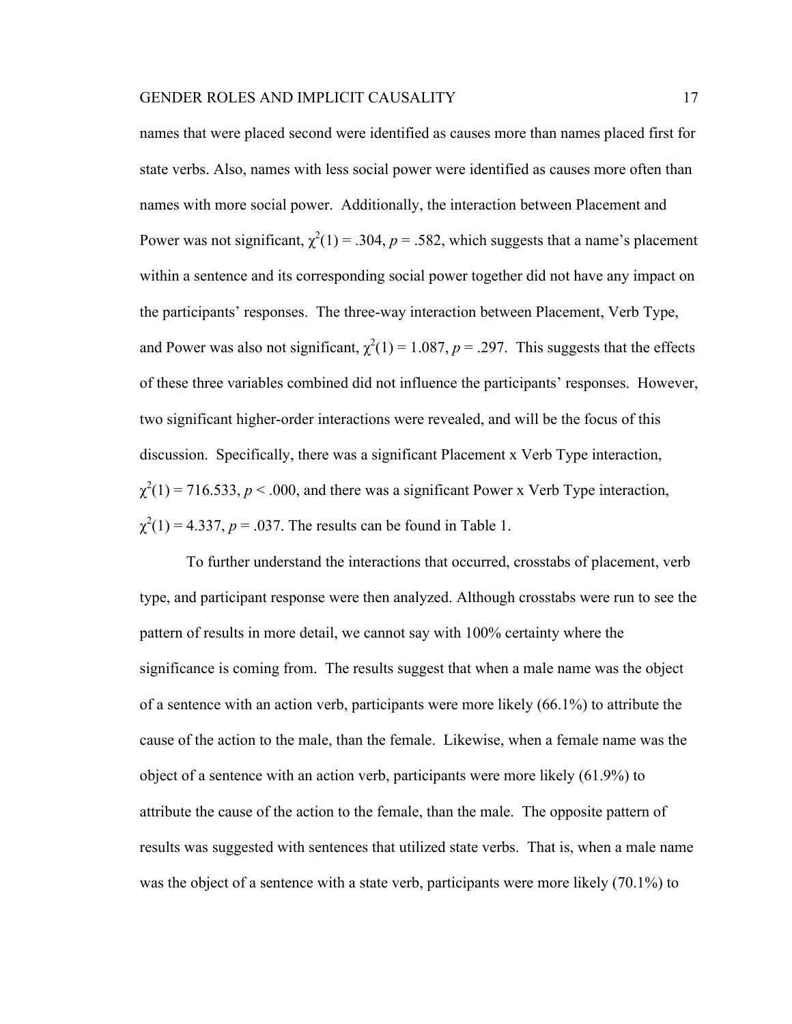names that were placed second were identified as causes more than names placed first for state verbs. Also, names with less social power were identified as causes more often than names with more social power. Additionally, the interaction between Placement and Power was not significant,  $\chi^2(1) = .304$ ,  $p = .582$ , which suggests that a name's placement within a sentence and its corresponding social power together did not have any impact on the participants' responses. The three-way interaction between Placement, Verb Type, and Power was also not significant,  $\chi^2(1) = 1.087$ ,  $p = .297$ . This suggests that the effects of these three variables combined did not influence the participants' responses. However, two significant higher-order interactions were revealed, and will be the focus of this discussion. Specifically, there was a significant Placement x Verb Type interaction,  $\chi^2(1)$  = 716.533, *p* < .000, and there was a significant Power x Verb Type interaction,  $\chi^2(1) = 4.337$ ,  $p = .037$ . The results can be found in Table 1.

To further understand the interactions that occurred, crosstabs of placement, verb type, and participant response were then analyzed. Although crosstabs were run to see the pattern of results in more detail, we cannot say with 100% certainty where the significance is coming from. The results suggest that when a male name was the object of a sentence with an action verb, participants were more likely (66.1%) to attribute the cause of the action to the male, than the female. Likewise, when a female name was the object of a sentence with an action verb, participants were more likely (61.9%) to attribute the cause of the action to the female, than the male. The opposite pattern of results was suggested with sentences that utilized state verbs. That is, when a male name was the object of a sentence with a state verb, participants were more likely (70.1%) to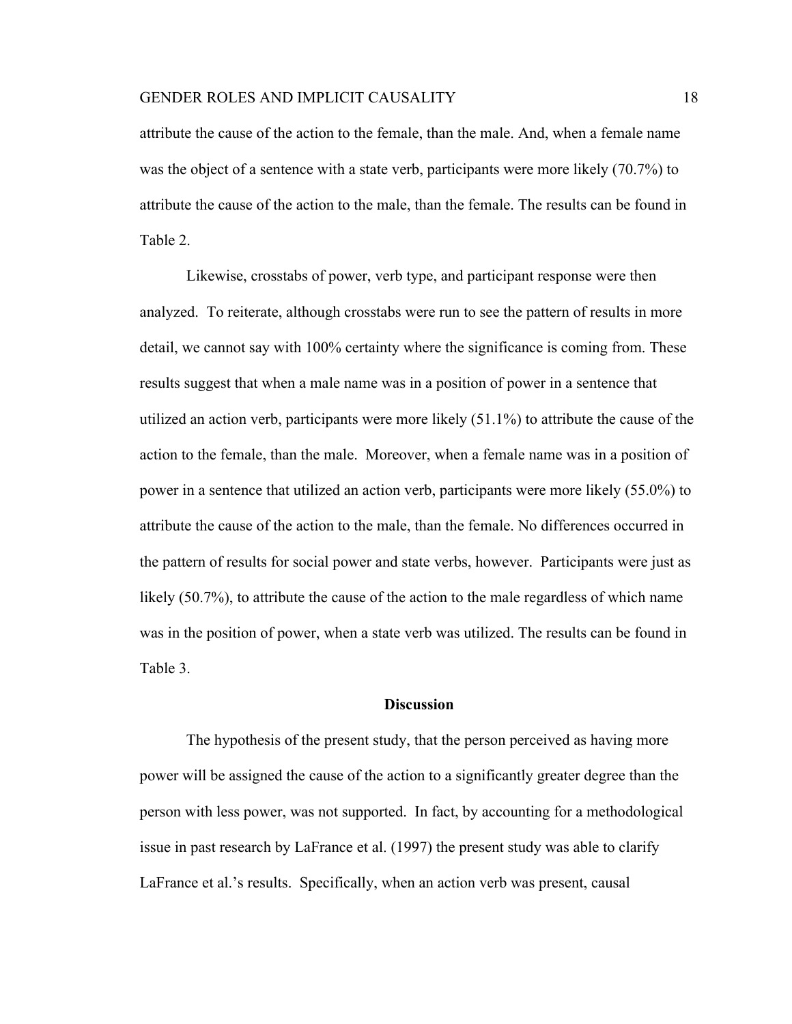attribute the cause of the action to the female, than the male. And, when a female name was the object of a sentence with a state verb, participants were more likely (70.7%) to attribute the cause of the action to the male, than the female. The results can be found in Table 2.

Likewise, crosstabs of power, verb type, and participant response were then analyzed. To reiterate, although crosstabs were run to see the pattern of results in more detail, we cannot say with 100% certainty where the significance is coming from. These results suggest that when a male name was in a position of power in a sentence that utilized an action verb, participants were more likely (51.1%) to attribute the cause of the action to the female, than the male. Moreover, when a female name was in a position of power in a sentence that utilized an action verb, participants were more likely (55.0%) to attribute the cause of the action to the male, than the female. No differences occurred in the pattern of results for social power and state verbs, however. Participants were just as likely (50.7%), to attribute the cause of the action to the male regardless of which name was in the position of power, when a state verb was utilized. The results can be found in Table 3.

## **Discussion**

The hypothesis of the present study, that the person perceived as having more power will be assigned the cause of the action to a significantly greater degree than the person with less power, was not supported. In fact, by accounting for a methodological issue in past research by LaFrance et al. (1997) the present study was able to clarify LaFrance et al.'s results. Specifically, when an action verb was present, causal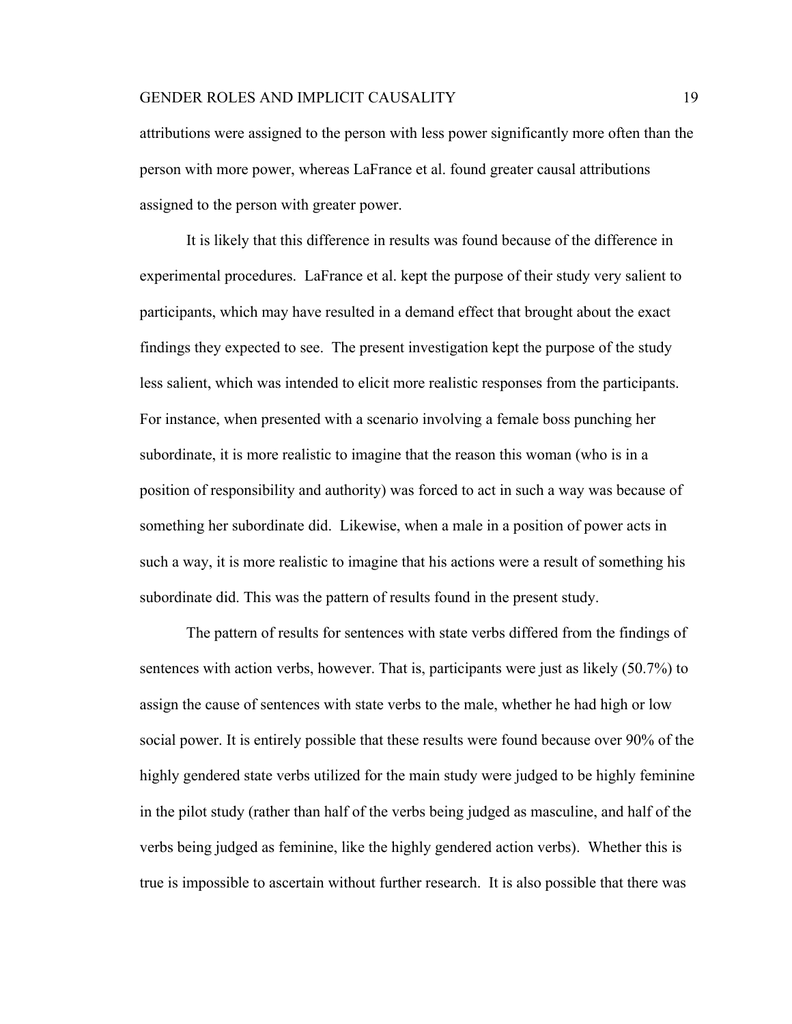attributions were assigned to the person with less power significantly more often than the person with more power, whereas LaFrance et al. found greater causal attributions assigned to the person with greater power.

It is likely that this difference in results was found because of the difference in experimental procedures. LaFrance et al. kept the purpose of their study very salient to participants, which may have resulted in a demand effect that brought about the exact findings they expected to see. The present investigation kept the purpose of the study less salient, which was intended to elicit more realistic responses from the participants. For instance, when presented with a scenario involving a female boss punching her subordinate, it is more realistic to imagine that the reason this woman (who is in a position of responsibility and authority) was forced to act in such a way was because of something her subordinate did. Likewise, when a male in a position of power acts in such a way, it is more realistic to imagine that his actions were a result of something his subordinate did. This was the pattern of results found in the present study.

The pattern of results for sentences with state verbs differed from the findings of sentences with action verbs, however. That is, participants were just as likely (50.7%) to assign the cause of sentences with state verbs to the male, whether he had high or low social power. It is entirely possible that these results were found because over 90% of the highly gendered state verbs utilized for the main study were judged to be highly feminine in the pilot study (rather than half of the verbs being judged as masculine, and half of the verbs being judged as feminine, like the highly gendered action verbs). Whether this is true is impossible to ascertain without further research. It is also possible that there was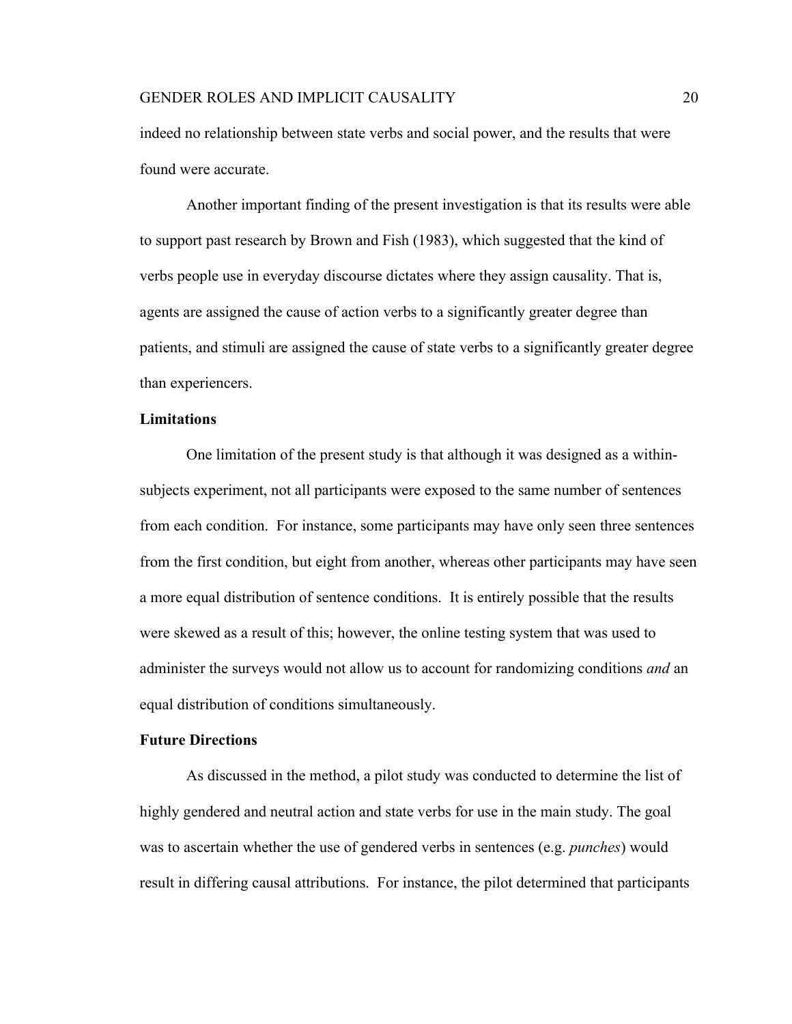indeed no relationship between state verbs and social power, and the results that were found were accurate.

Another important finding of the present investigation is that its results were able to support past research by Brown and Fish (1983), which suggested that the kind of verbs people use in everyday discourse dictates where they assign causality. That is, agents are assigned the cause of action verbs to a significantly greater degree than patients, and stimuli are assigned the cause of state verbs to a significantly greater degree than experiencers.

# **Limitations**

One limitation of the present study is that although it was designed as a withinsubjects experiment, not all participants were exposed to the same number of sentences from each condition. For instance, some participants may have only seen three sentences from the first condition, but eight from another, whereas other participants may have seen a more equal distribution of sentence conditions. It is entirely possible that the results were skewed as a result of this; however, the online testing system that was used to administer the surveys would not allow us to account for randomizing conditions *and* an equal distribution of conditions simultaneously.

# **Future Directions**

As discussed in the method, a pilot study was conducted to determine the list of highly gendered and neutral action and state verbs for use in the main study. The goal was to ascertain whether the use of gendered verbs in sentences (e.g. *punches*) would result in differing causal attributions. For instance, the pilot determined that participants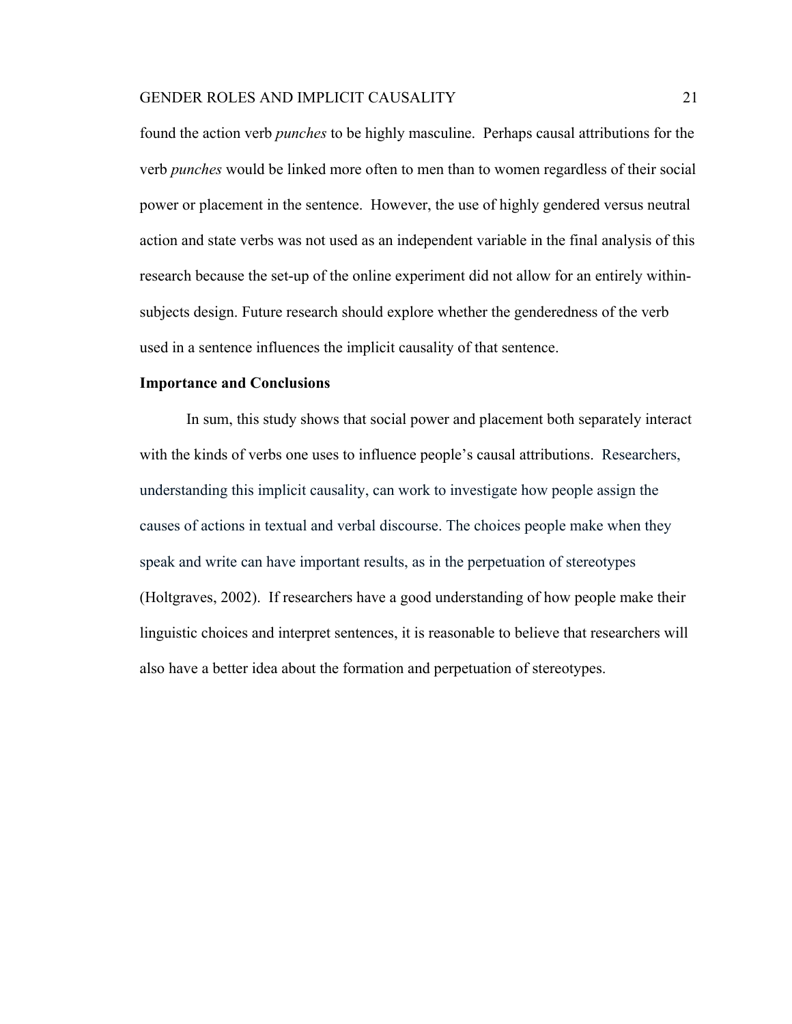found the action verb *punches* to be highly masculine. Perhaps causal attributions for the verb *punches* would be linked more often to men than to women regardless of their social power or placement in the sentence. However, the use of highly gendered versus neutral action and state verbs was not used as an independent variable in the final analysis of this research because the set-up of the online experiment did not allow for an entirely withinsubjects design. Future research should explore whether the genderedness of the verb used in a sentence influences the implicit causality of that sentence.

# **Importance and Conclusions**

In sum, this study shows that social power and placement both separately interact with the kinds of verbs one uses to influence people's causal attributions. Researchers, understanding this implicit causality, can work to investigate how people assign the causes of actions in textual and verbal discourse. The choices people make when they speak and write can have important results, as in the perpetuation of stereotypes (Holtgraves, 2002). If researchers have a good understanding of how people make their linguistic choices and interpret sentences, it is reasonable to believe that researchers will also have a better idea about the formation and perpetuation of stereotypes.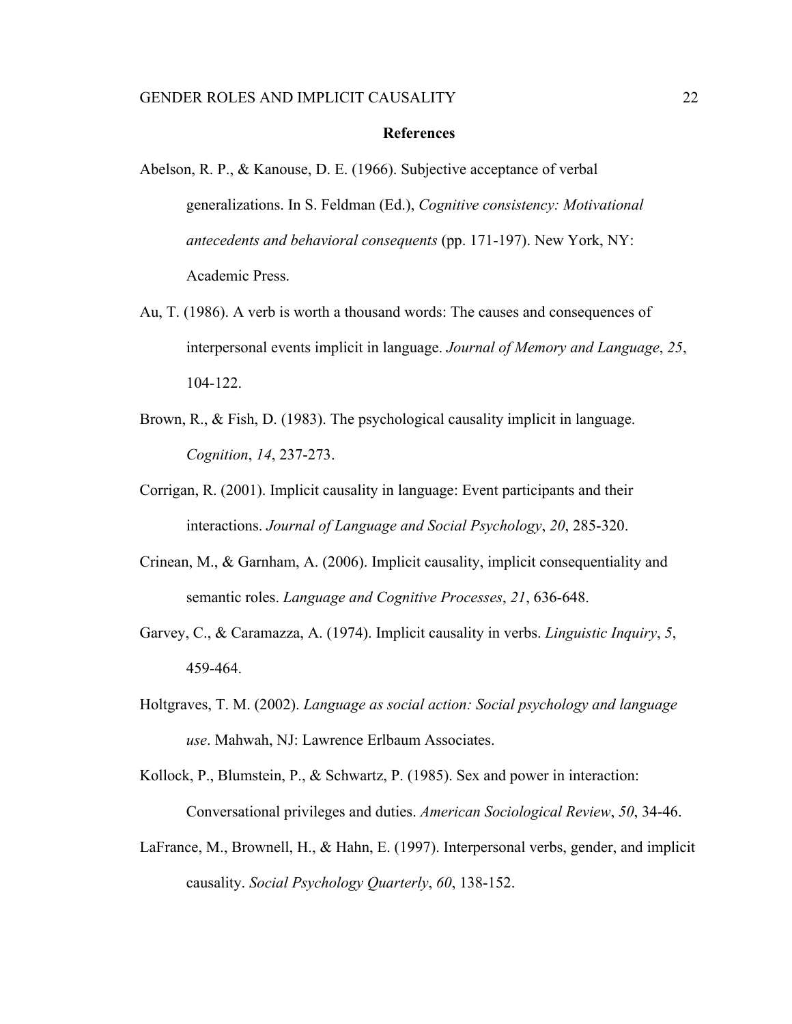#### **References**

- Abelson, R. P., & Kanouse, D. E. (1966). Subjective acceptance of verbal generalizations. In S. Feldman (Ed.), *Cognitive consistency: Motivational antecedents and behavioral consequents* (pp. 171-197). New York, NY: Academic Press.
- Au, T. (1986). A verb is worth a thousand words: The causes and consequences of interpersonal events implicit in language. *Journal of Memory and Language*, *25*, 104-122.
- Brown, R., & Fish, D. (1983). The psychological causality implicit in language. *Cognition*, *14*, 237-273.
- Corrigan, R. (2001). Implicit causality in language: Event participants and their interactions. *Journal of Language and Social Psychology*, *20*, 285-320.
- Crinean, M., & Garnham, A. (2006). Implicit causality, implicit consequentiality and semantic roles. *Language and Cognitive Processes*, *21*, 636-648.
- Garvey, C., & Caramazza, A. (1974). Implicit causality in verbs. *Linguistic Inquiry*, *5*, 459-464.
- Holtgraves, T. M. (2002). *Language as social action: Social psychology and language use*. Mahwah, NJ: Lawrence Erlbaum Associates.
- Kollock, P., Blumstein, P., & Schwartz, P. (1985). Sex and power in interaction: Conversational privileges and duties. *American Sociological Review*, *50*, 34-46.
- LaFrance, M., Brownell, H., & Hahn, E. (1997). Interpersonal verbs, gender, and implicit causality. *Social Psychology Quarterly*, *60*, 138-152.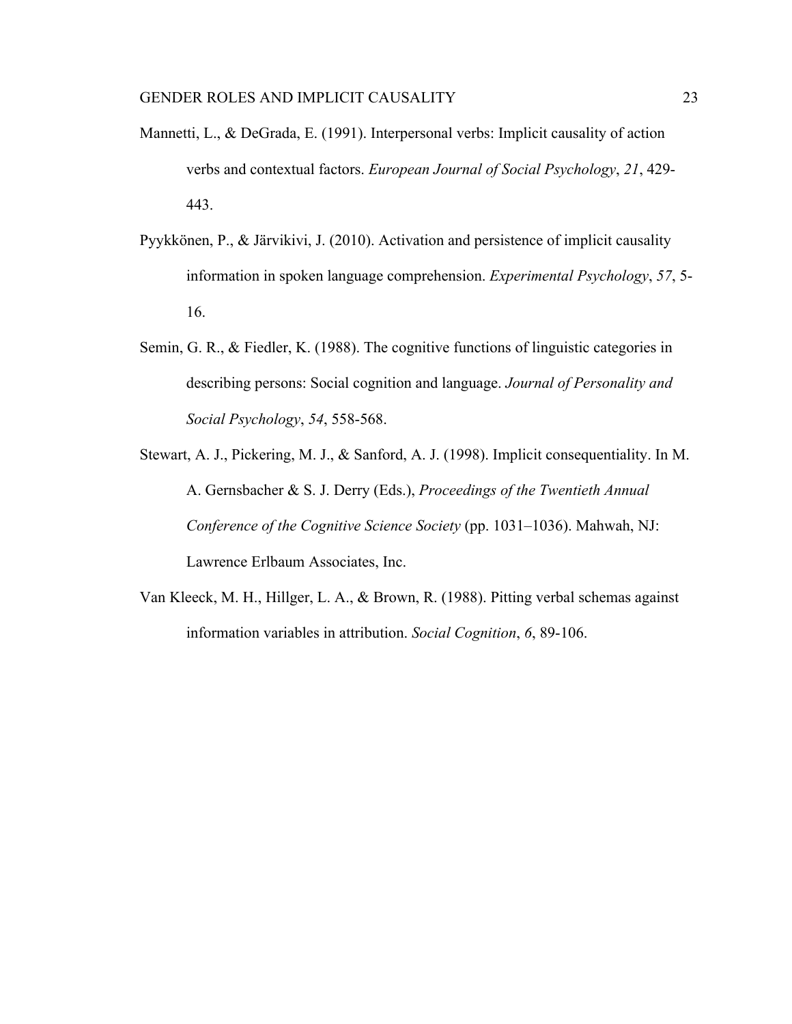- Mannetti, L., & DeGrada, E. (1991). Interpersonal verbs: Implicit causality of action verbs and contextual factors. *European Journal of Social Psychology*, *21*, 429- 443.
- Pyykkönen, P., & Järvikivi, J. (2010). Activation and persistence of implicit causality information in spoken language comprehension. *Experimental Psychology*, *57*, 5- 16.
- Semin, G. R., & Fiedler, K. (1988). The cognitive functions of linguistic categories in describing persons: Social cognition and language. *Journal of Personality and Social Psychology*, *54*, 558-568.
- Stewart, A. J., Pickering, M. J., & Sanford, A. J. (1998). Implicit consequentiality. In M. A. Gernsbacher & S. J. Derry (Eds.), *Proceedings of the Twentieth Annual Conference of the Cognitive Science Society* (pp. 1031–1036). Mahwah, NJ: Lawrence Erlbaum Associates, Inc.
- Van Kleeck, M. H., Hillger, L. A., & Brown, R. (1988). Pitting verbal schemas against information variables in attribution. *Social Cognition*, *6*, 89-106.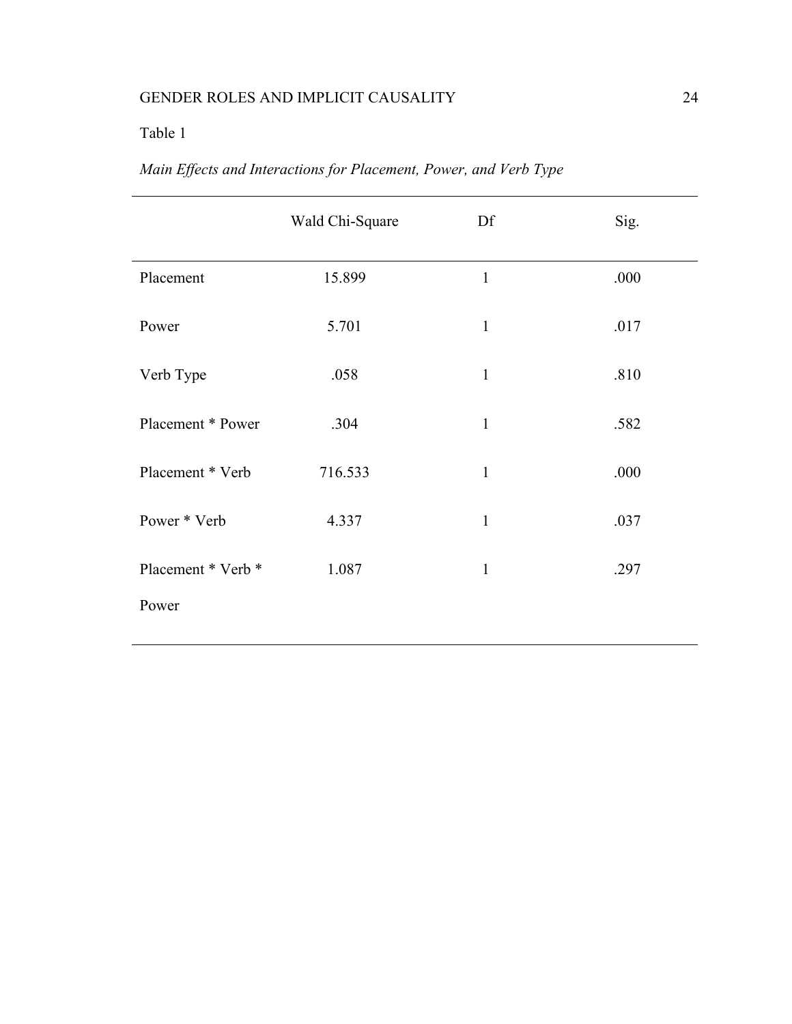# Table 1

| Main Effects and Interactions for Placement, Power, and Verb Type |  |
|-------------------------------------------------------------------|--|
|                                                                   |  |
|                                                                   |  |

|                    | Wald Chi-Square | Df           | Sig. |
|--------------------|-----------------|--------------|------|
| Placement          | 15.899          | $\mathbf{1}$ | .000 |
| Power              | 5.701           | $\mathbf{1}$ | .017 |
| Verb Type          | .058            | $\mathbf{1}$ | .810 |
| Placement * Power  | .304            | $\mathbf{1}$ | .582 |
| Placement * Verb   | 716.533         | $\mathbf{1}$ | .000 |
| Power * Verb       | 4.337           | $\mathbf{1}$ | .037 |
| Placement * Verb * | 1.087           | $\mathbf{1}$ | .297 |
| Power              |                 |              |      |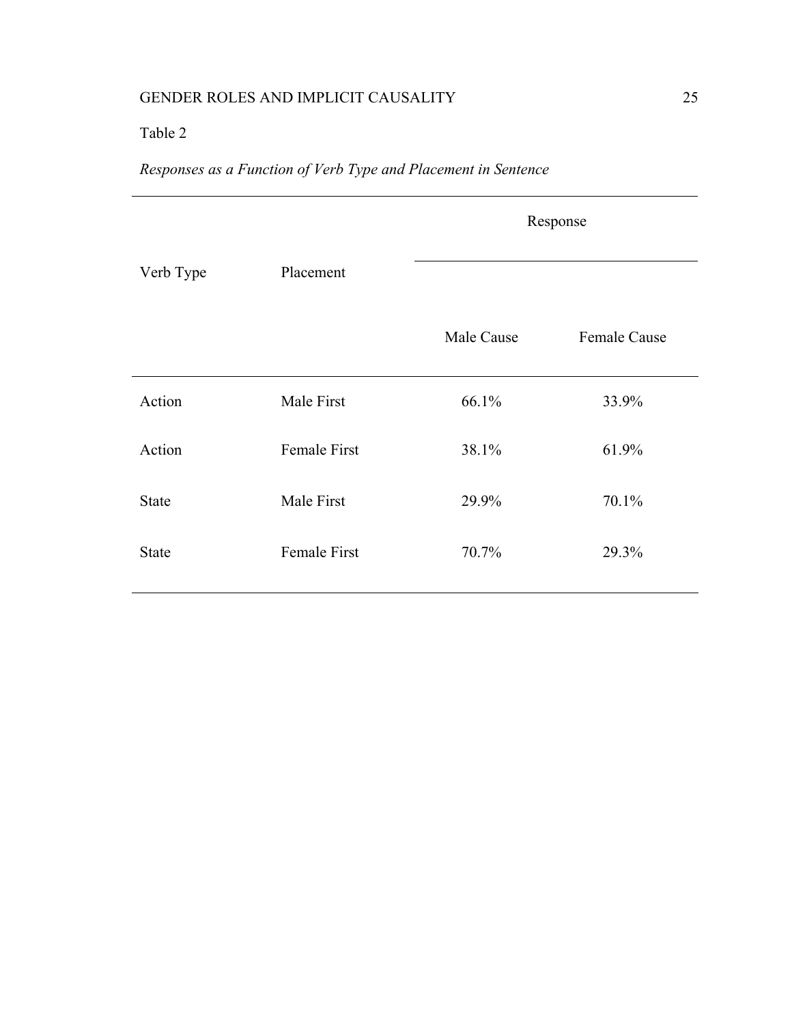# Table 2

# *Responses as a Function of Verb Type and Placement in Sentence*

|              |                     | Response   |                     |
|--------------|---------------------|------------|---------------------|
| Verb Type    | Placement           |            |                     |
|              |                     | Male Cause | <b>Female Cause</b> |
| Action       | Male First          | 66.1%      | 33.9%               |
| Action       | <b>Female First</b> | 38.1%      | 61.9%               |
| <b>State</b> | Male First          | 29.9%      | 70.1%               |
| <b>State</b> | Female First        | 70.7%      | 29.3%               |
|              |                     |            |                     |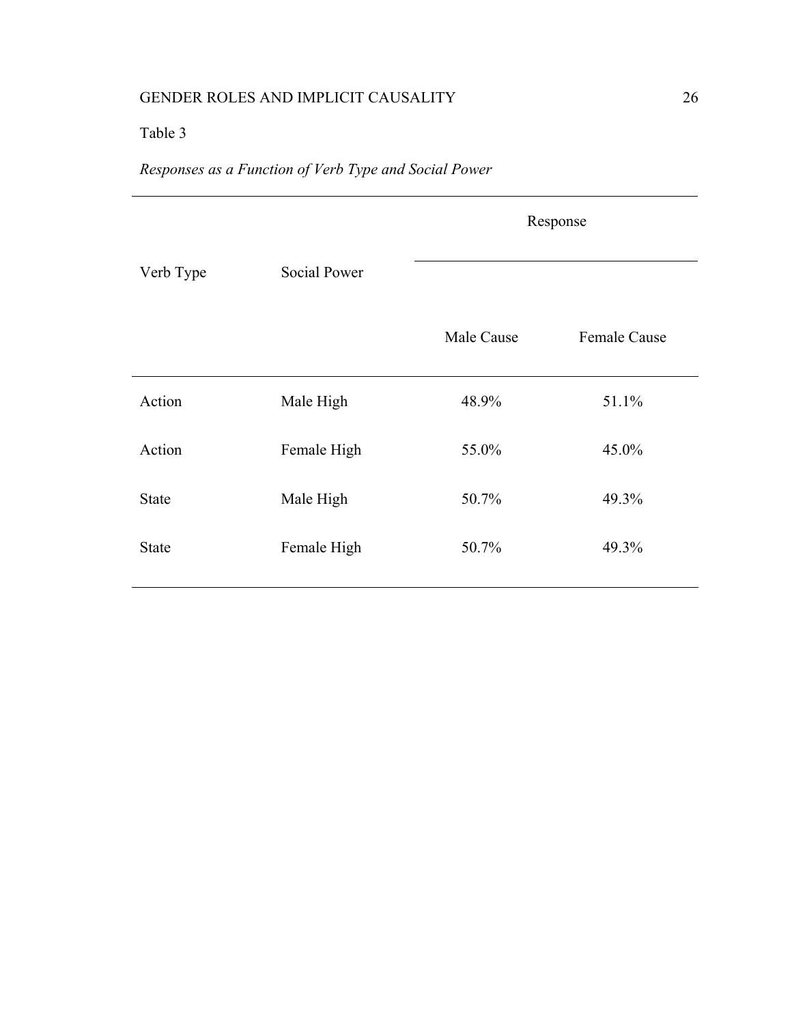# Table 3

# *Responses as a Function of Verb Type and Social Power*

|              |                     | Response   |                     |
|--------------|---------------------|------------|---------------------|
| Verb Type    | <b>Social Power</b> |            |                     |
|              |                     | Male Cause | <b>Female Cause</b> |
| Action       | Male High           | 48.9%      | 51.1%               |
| Action       | Female High         | 55.0%      | 45.0%               |
| <b>State</b> | Male High           | 50.7%      | 49.3%               |
| <b>State</b> | Female High         | 50.7%      | 49.3%               |
|              |                     |            |                     |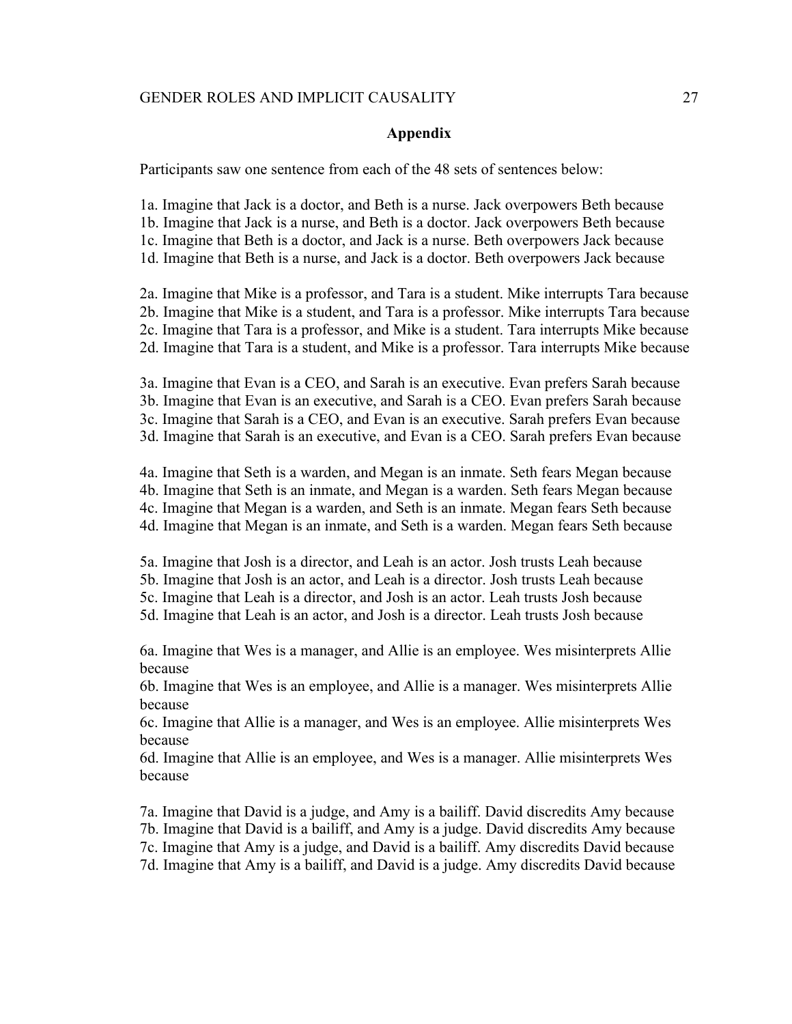#### **Appendix**

Participants saw one sentence from each of the 48 sets of sentences below:

1a. Imagine that Jack is a doctor, and Beth is a nurse. Jack overpowers Beth because 1b. Imagine that Jack is a nurse, and Beth is a doctor. Jack overpowers Beth because 1c. Imagine that Beth is a doctor, and Jack is a nurse. Beth overpowers Jack because 1d. Imagine that Beth is a nurse, and Jack is a doctor. Beth overpowers Jack because

2a. Imagine that Mike is a professor, and Tara is a student. Mike interrupts Tara because 2b. Imagine that Mike is a student, and Tara is a professor. Mike interrupts Tara because 2c. Imagine that Tara is a professor, and Mike is a student. Tara interrupts Mike because 2d. Imagine that Tara is a student, and Mike is a professor. Tara interrupts Mike because

3a. Imagine that Evan is a CEO, and Sarah is an executive. Evan prefers Sarah because 3b. Imagine that Evan is an executive, and Sarah is a CEO. Evan prefers Sarah because 3c. Imagine that Sarah is a CEO, and Evan is an executive. Sarah prefers Evan because 3d. Imagine that Sarah is an executive, and Evan is a CEO. Sarah prefers Evan because

4a. Imagine that Seth is a warden, and Megan is an inmate. Seth fears Megan because 4b. Imagine that Seth is an inmate, and Megan is a warden. Seth fears Megan because 4c. Imagine that Megan is a warden, and Seth is an inmate. Megan fears Seth because 4d. Imagine that Megan is an inmate, and Seth is a warden. Megan fears Seth because

5a. Imagine that Josh is a director, and Leah is an actor. Josh trusts Leah because

5b. Imagine that Josh is an actor, and Leah is a director. Josh trusts Leah because

5c. Imagine that Leah is a director, and Josh is an actor. Leah trusts Josh because

5d. Imagine that Leah is an actor, and Josh is a director. Leah trusts Josh because

6a. Imagine that Wes is a manager, and Allie is an employee. Wes misinterprets Allie because

6b. Imagine that Wes is an employee, and Allie is a manager. Wes misinterprets Allie because

6c. Imagine that Allie is a manager, and Wes is an employee. Allie misinterprets Wes because

6d. Imagine that Allie is an employee, and Wes is a manager. Allie misinterprets Wes because

7a. Imagine that David is a judge, and Amy is a bailiff. David discredits Amy because 7b. Imagine that David is a bailiff, and Amy is a judge. David discredits Amy because 7c. Imagine that Amy is a judge, and David is a bailiff. Amy discredits David because 7d. Imagine that Amy is a bailiff, and David is a judge. Amy discredits David because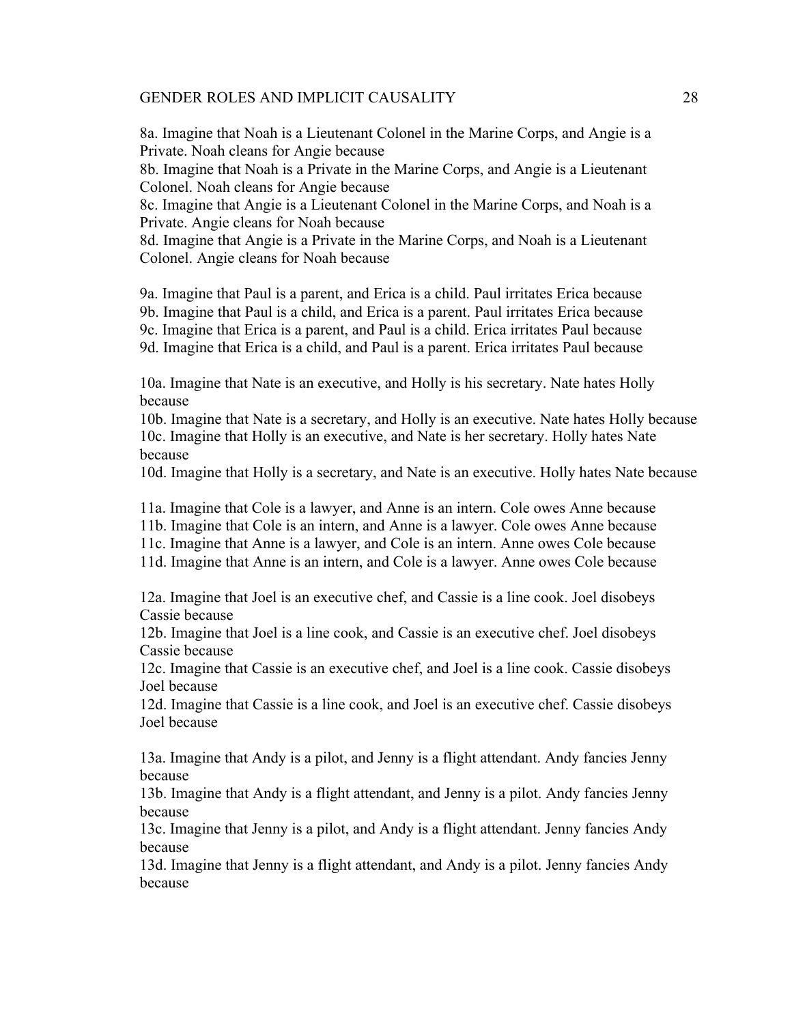8a. Imagine that Noah is a Lieutenant Colonel in the Marine Corps, and Angie is a Private. Noah cleans for Angie because

8b. Imagine that Noah is a Private in the Marine Corps, and Angie is a Lieutenant Colonel. Noah cleans for Angie because

8c. Imagine that Angie is a Lieutenant Colonel in the Marine Corps, and Noah is a Private. Angie cleans for Noah because

8d. Imagine that Angie is a Private in the Marine Corps, and Noah is a Lieutenant Colonel. Angie cleans for Noah because

9a. Imagine that Paul is a parent, and Erica is a child. Paul irritates Erica because 9b. Imagine that Paul is a child, and Erica is a parent. Paul irritates Erica because 9c. Imagine that Erica is a parent, and Paul is a child. Erica irritates Paul because 9d. Imagine that Erica is a child, and Paul is a parent. Erica irritates Paul because

10a. Imagine that Nate is an executive, and Holly is his secretary. Nate hates Holly because

10b. Imagine that Nate is a secretary, and Holly is an executive. Nate hates Holly because 10c. Imagine that Holly is an executive, and Nate is her secretary. Holly hates Nate because

10d. Imagine that Holly is a secretary, and Nate is an executive. Holly hates Nate because

11a. Imagine that Cole is a lawyer, and Anne is an intern. Cole owes Anne because

11b. Imagine that Cole is an intern, and Anne is a lawyer. Cole owes Anne because

11c. Imagine that Anne is a lawyer, and Cole is an intern. Anne owes Cole because

11d. Imagine that Anne is an intern, and Cole is a lawyer. Anne owes Cole because

12a. Imagine that Joel is an executive chef, and Cassie is a line cook. Joel disobeys Cassie because

12b. Imagine that Joel is a line cook, and Cassie is an executive chef. Joel disobeys Cassie because

12c. Imagine that Cassie is an executive chef, and Joel is a line cook. Cassie disobeys Joel because

12d. Imagine that Cassie is a line cook, and Joel is an executive chef. Cassie disobeys Joel because

13a. Imagine that Andy is a pilot, and Jenny is a flight attendant. Andy fancies Jenny because

13b. Imagine that Andy is a flight attendant, and Jenny is a pilot. Andy fancies Jenny because

13c. Imagine that Jenny is a pilot, and Andy is a flight attendant. Jenny fancies Andy because

13d. Imagine that Jenny is a flight attendant, and Andy is a pilot. Jenny fancies Andy because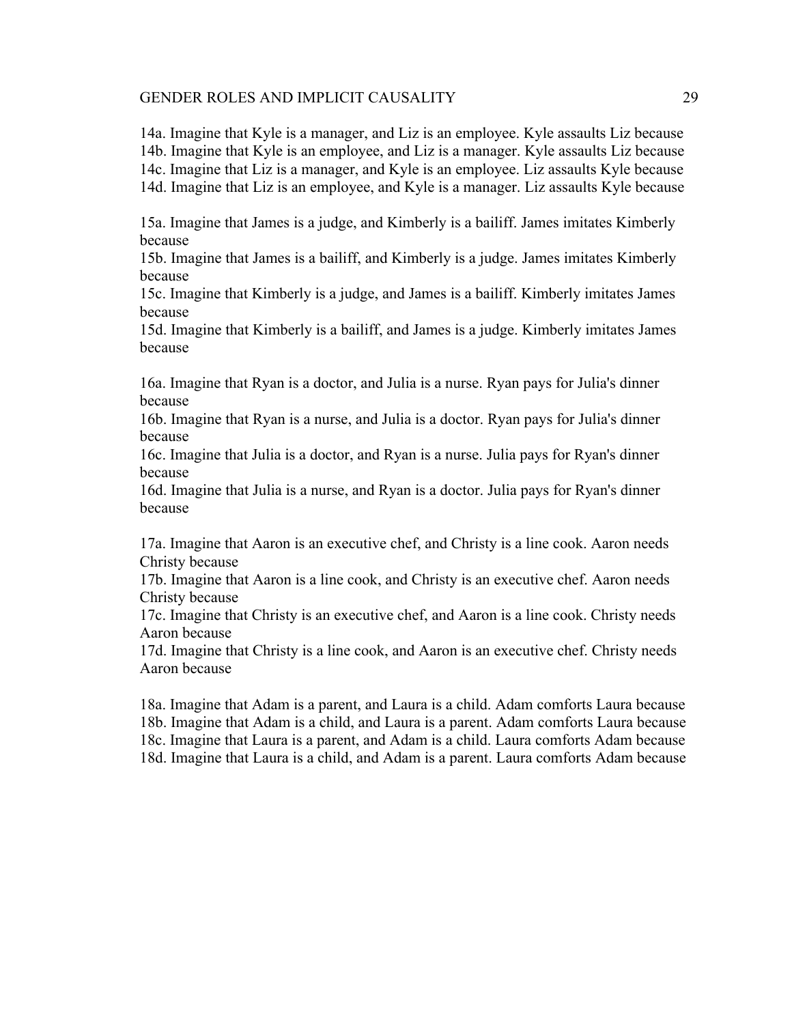14a. Imagine that Kyle is a manager, and Liz is an employee. Kyle assaults Liz because 14b. Imagine that Kyle is an employee, and Liz is a manager. Kyle assaults Liz because 14c. Imagine that Liz is a manager, and Kyle is an employee. Liz assaults Kyle because 14d. Imagine that Liz is an employee, and Kyle is a manager. Liz assaults Kyle because

15a. Imagine that James is a judge, and Kimberly is a bailiff. James imitates Kimberly because

15b. Imagine that James is a bailiff, and Kimberly is a judge. James imitates Kimberly because

15c. Imagine that Kimberly is a judge, and James is a bailiff. Kimberly imitates James because

15d. Imagine that Kimberly is a bailiff, and James is a judge. Kimberly imitates James because

16a. Imagine that Ryan is a doctor, and Julia is a nurse. Ryan pays for Julia's dinner because

16b. Imagine that Ryan is a nurse, and Julia is a doctor. Ryan pays for Julia's dinner because

16c. Imagine that Julia is a doctor, and Ryan is a nurse. Julia pays for Ryan's dinner because

16d. Imagine that Julia is a nurse, and Ryan is a doctor. Julia pays for Ryan's dinner because

17a. Imagine that Aaron is an executive chef, and Christy is a line cook. Aaron needs Christy because

17b. Imagine that Aaron is a line cook, and Christy is an executive chef. Aaron needs Christy because

17c. Imagine that Christy is an executive chef, and Aaron is a line cook. Christy needs Aaron because

17d. Imagine that Christy is a line cook, and Aaron is an executive chef. Christy needs Aaron because

18a. Imagine that Adam is a parent, and Laura is a child. Adam comforts Laura because 18b. Imagine that Adam is a child, and Laura is a parent. Adam comforts Laura because 18c. Imagine that Laura is a parent, and Adam is a child. Laura comforts Adam because 18d. Imagine that Laura is a child, and Adam is a parent. Laura comforts Adam because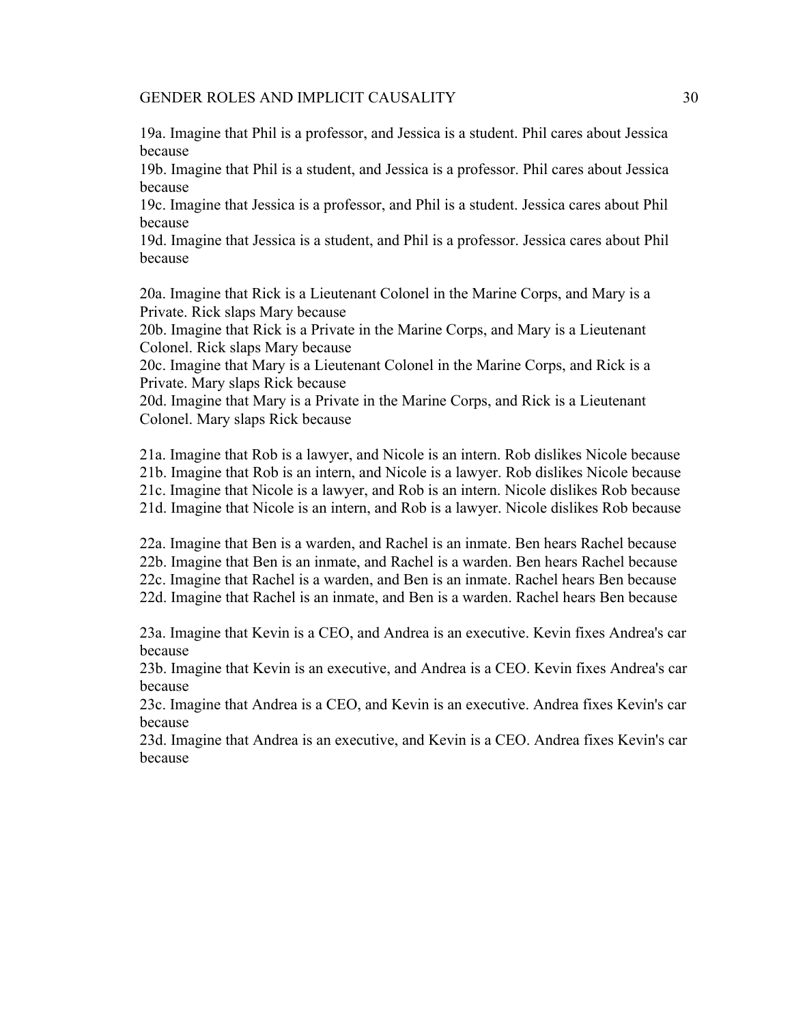19a. Imagine that Phil is a professor, and Jessica is a student. Phil cares about Jessica because

19b. Imagine that Phil is a student, and Jessica is a professor. Phil cares about Jessica because

19c. Imagine that Jessica is a professor, and Phil is a student. Jessica cares about Phil because

19d. Imagine that Jessica is a student, and Phil is a professor. Jessica cares about Phil because

20a. Imagine that Rick is a Lieutenant Colonel in the Marine Corps, and Mary is a Private. Rick slaps Mary because

20b. Imagine that Rick is a Private in the Marine Corps, and Mary is a Lieutenant Colonel. Rick slaps Mary because

20c. Imagine that Mary is a Lieutenant Colonel in the Marine Corps, and Rick is a Private. Mary slaps Rick because

20d. Imagine that Mary is a Private in the Marine Corps, and Rick is a Lieutenant Colonel. Mary slaps Rick because

21a. Imagine that Rob is a lawyer, and Nicole is an intern. Rob dislikes Nicole because 21b. Imagine that Rob is an intern, and Nicole is a lawyer. Rob dislikes Nicole because 21c. Imagine that Nicole is a lawyer, and Rob is an intern. Nicole dislikes Rob because 21d. Imagine that Nicole is an intern, and Rob is a lawyer. Nicole dislikes Rob because

22a. Imagine that Ben is a warden, and Rachel is an inmate. Ben hears Rachel because 22b. Imagine that Ben is an inmate, and Rachel is a warden. Ben hears Rachel because 22c. Imagine that Rachel is a warden, and Ben is an inmate. Rachel hears Ben because 22d. Imagine that Rachel is an inmate, and Ben is a warden. Rachel hears Ben because

23a. Imagine that Kevin is a CEO, and Andrea is an executive. Kevin fixes Andrea's car because

23b. Imagine that Kevin is an executive, and Andrea is a CEO. Kevin fixes Andrea's car because

23c. Imagine that Andrea is a CEO, and Kevin is an executive. Andrea fixes Kevin's car because

23d. Imagine that Andrea is an executive, and Kevin is a CEO. Andrea fixes Kevin's car because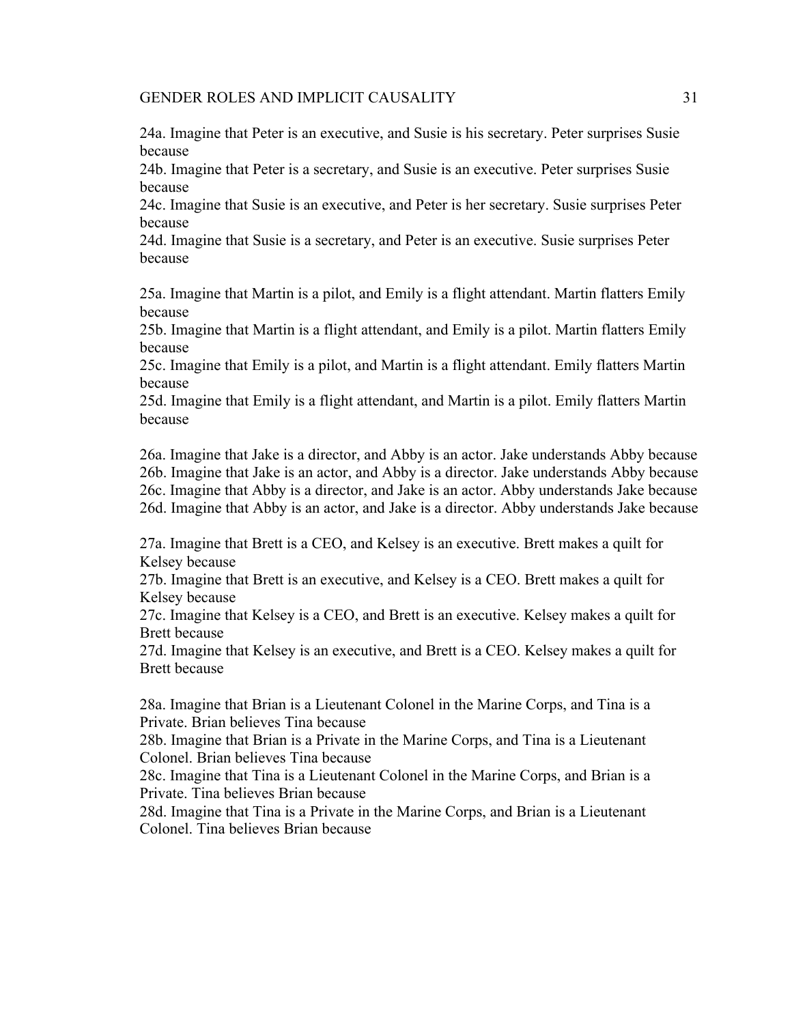24a. Imagine that Peter is an executive, and Susie is his secretary. Peter surprises Susie because

24b. Imagine that Peter is a secretary, and Susie is an executive. Peter surprises Susie because

24c. Imagine that Susie is an executive, and Peter is her secretary. Susie surprises Peter because

24d. Imagine that Susie is a secretary, and Peter is an executive. Susie surprises Peter because

25a. Imagine that Martin is a pilot, and Emily is a flight attendant. Martin flatters Emily because

25b. Imagine that Martin is a flight attendant, and Emily is a pilot. Martin flatters Emily because

25c. Imagine that Emily is a pilot, and Martin is a flight attendant. Emily flatters Martin because

25d. Imagine that Emily is a flight attendant, and Martin is a pilot. Emily flatters Martin because

26a. Imagine that Jake is a director, and Abby is an actor. Jake understands Abby because 26b. Imagine that Jake is an actor, and Abby is a director. Jake understands Abby because 26c. Imagine that Abby is a director, and Jake is an actor. Abby understands Jake because 26d. Imagine that Abby is an actor, and Jake is a director. Abby understands Jake because

27a. Imagine that Brett is a CEO, and Kelsey is an executive. Brett makes a quilt for Kelsey because

27b. Imagine that Brett is an executive, and Kelsey is a CEO. Brett makes a quilt for Kelsey because

27c. Imagine that Kelsey is a CEO, and Brett is an executive. Kelsey makes a quilt for Brett because

27d. Imagine that Kelsey is an executive, and Brett is a CEO. Kelsey makes a quilt for Brett because

28a. Imagine that Brian is a Lieutenant Colonel in the Marine Corps, and Tina is a Private. Brian believes Tina because

28b. Imagine that Brian is a Private in the Marine Corps, and Tina is a Lieutenant Colonel. Brian believes Tina because

28c. Imagine that Tina is a Lieutenant Colonel in the Marine Corps, and Brian is a Private. Tina believes Brian because

28d. Imagine that Tina is a Private in the Marine Corps, and Brian is a Lieutenant Colonel. Tina believes Brian because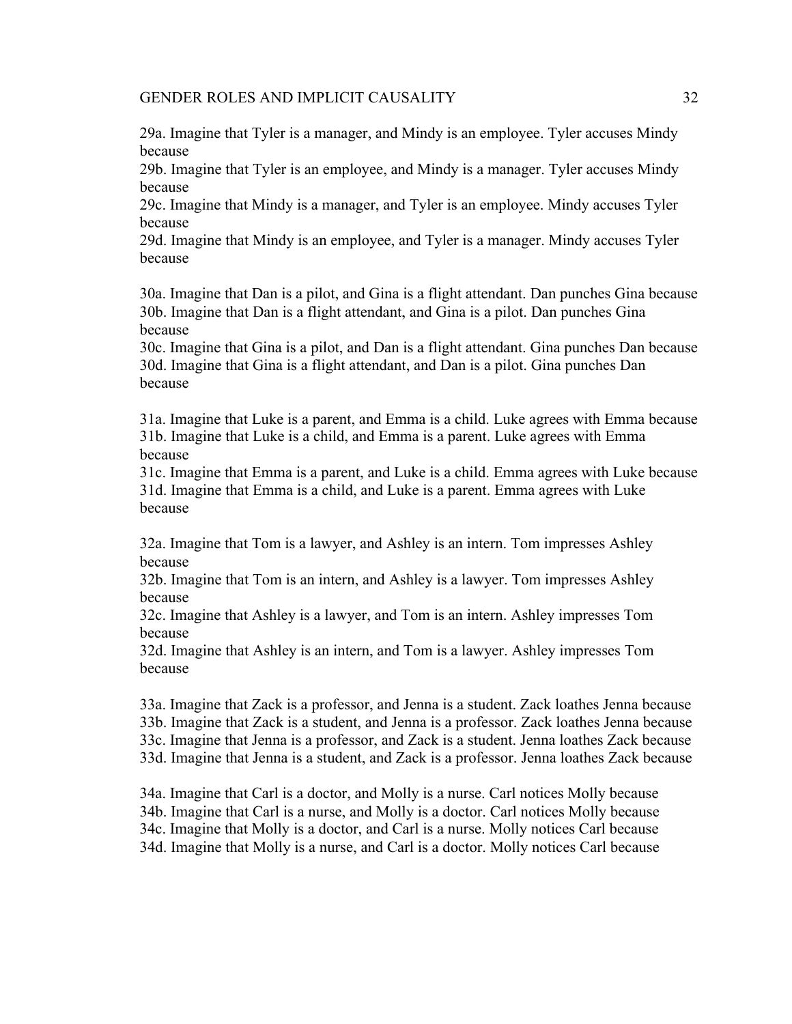29a. Imagine that Tyler is a manager, and Mindy is an employee. Tyler accuses Mindy because

29b. Imagine that Tyler is an employee, and Mindy is a manager. Tyler accuses Mindy because

29c. Imagine that Mindy is a manager, and Tyler is an employee. Mindy accuses Tyler because

29d. Imagine that Mindy is an employee, and Tyler is a manager. Mindy accuses Tyler because

30a. Imagine that Dan is a pilot, and Gina is a flight attendant. Dan punches Gina because 30b. Imagine that Dan is a flight attendant, and Gina is a pilot. Dan punches Gina because

30c. Imagine that Gina is a pilot, and Dan is a flight attendant. Gina punches Dan because 30d. Imagine that Gina is a flight attendant, and Dan is a pilot. Gina punches Dan because

31a. Imagine that Luke is a parent, and Emma is a child. Luke agrees with Emma because 31b. Imagine that Luke is a child, and Emma is a parent. Luke agrees with Emma because

31c. Imagine that Emma is a parent, and Luke is a child. Emma agrees with Luke because 31d. Imagine that Emma is a child, and Luke is a parent. Emma agrees with Luke because

32a. Imagine that Tom is a lawyer, and Ashley is an intern. Tom impresses Ashley because

32b. Imagine that Tom is an intern, and Ashley is a lawyer. Tom impresses Ashley because

32c. Imagine that Ashley is a lawyer, and Tom is an intern. Ashley impresses Tom because

32d. Imagine that Ashley is an intern, and Tom is a lawyer. Ashley impresses Tom because

33a. Imagine that Zack is a professor, and Jenna is a student. Zack loathes Jenna because 33b. Imagine that Zack is a student, and Jenna is a professor. Zack loathes Jenna because 33c. Imagine that Jenna is a professor, and Zack is a student. Jenna loathes Zack because 33d. Imagine that Jenna is a student, and Zack is a professor. Jenna loathes Zack because

34a. Imagine that Carl is a doctor, and Molly is a nurse. Carl notices Molly because 34b. Imagine that Carl is a nurse, and Molly is a doctor. Carl notices Molly because 34c. Imagine that Molly is a doctor, and Carl is a nurse. Molly notices Carl because 34d. Imagine that Molly is a nurse, and Carl is a doctor. Molly notices Carl because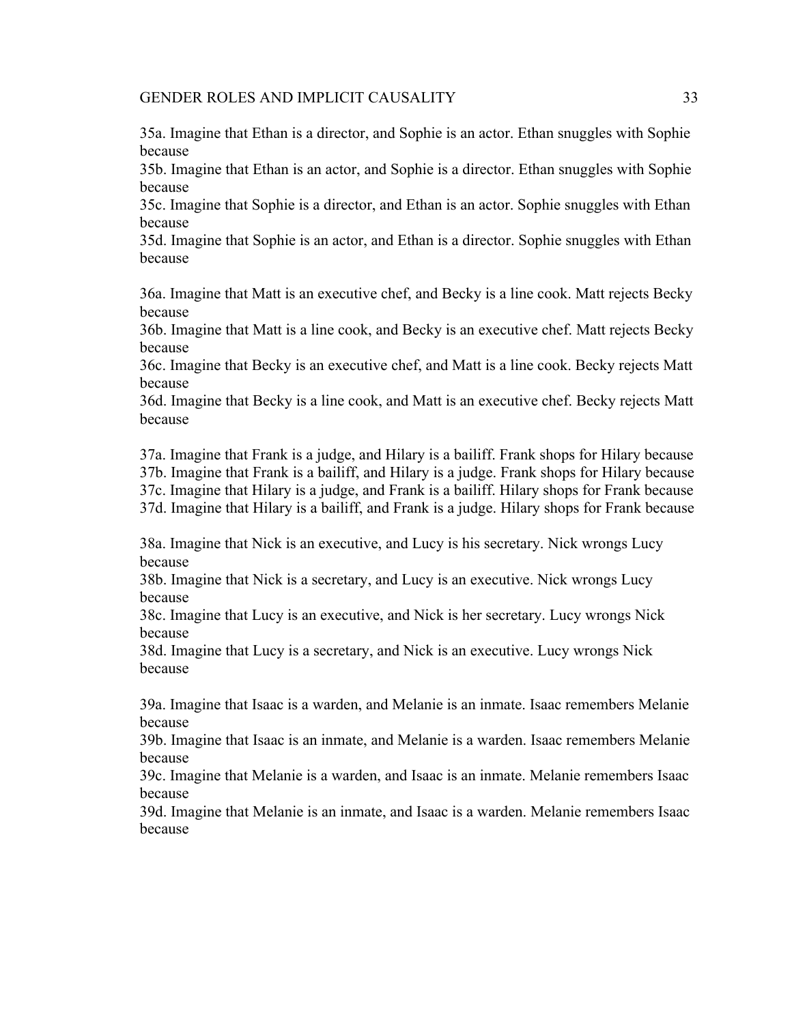35a. Imagine that Ethan is a director, and Sophie is an actor. Ethan snuggles with Sophie because

35b. Imagine that Ethan is an actor, and Sophie is a director. Ethan snuggles with Sophie because

35c. Imagine that Sophie is a director, and Ethan is an actor. Sophie snuggles with Ethan because

35d. Imagine that Sophie is an actor, and Ethan is a director. Sophie snuggles with Ethan because

36a. Imagine that Matt is an executive chef, and Becky is a line cook. Matt rejects Becky because

36b. Imagine that Matt is a line cook, and Becky is an executive chef. Matt rejects Becky because

36c. Imagine that Becky is an executive chef, and Matt is a line cook. Becky rejects Matt because

36d. Imagine that Becky is a line cook, and Matt is an executive chef. Becky rejects Matt because

37a. Imagine that Frank is a judge, and Hilary is a bailiff. Frank shops for Hilary because 37b. Imagine that Frank is a bailiff, and Hilary is a judge. Frank shops for Hilary because 37c. Imagine that Hilary is a judge, and Frank is a bailiff. Hilary shops for Frank because 37d. Imagine that Hilary is a bailiff, and Frank is a judge. Hilary shops for Frank because

38a. Imagine that Nick is an executive, and Lucy is his secretary. Nick wrongs Lucy because

38b. Imagine that Nick is a secretary, and Lucy is an executive. Nick wrongs Lucy because

38c. Imagine that Lucy is an executive, and Nick is her secretary. Lucy wrongs Nick because

38d. Imagine that Lucy is a secretary, and Nick is an executive. Lucy wrongs Nick because

39a. Imagine that Isaac is a warden, and Melanie is an inmate. Isaac remembers Melanie because

39b. Imagine that Isaac is an inmate, and Melanie is a warden. Isaac remembers Melanie because

39c. Imagine that Melanie is a warden, and Isaac is an inmate. Melanie remembers Isaac because

39d. Imagine that Melanie is an inmate, and Isaac is a warden. Melanie remembers Isaac because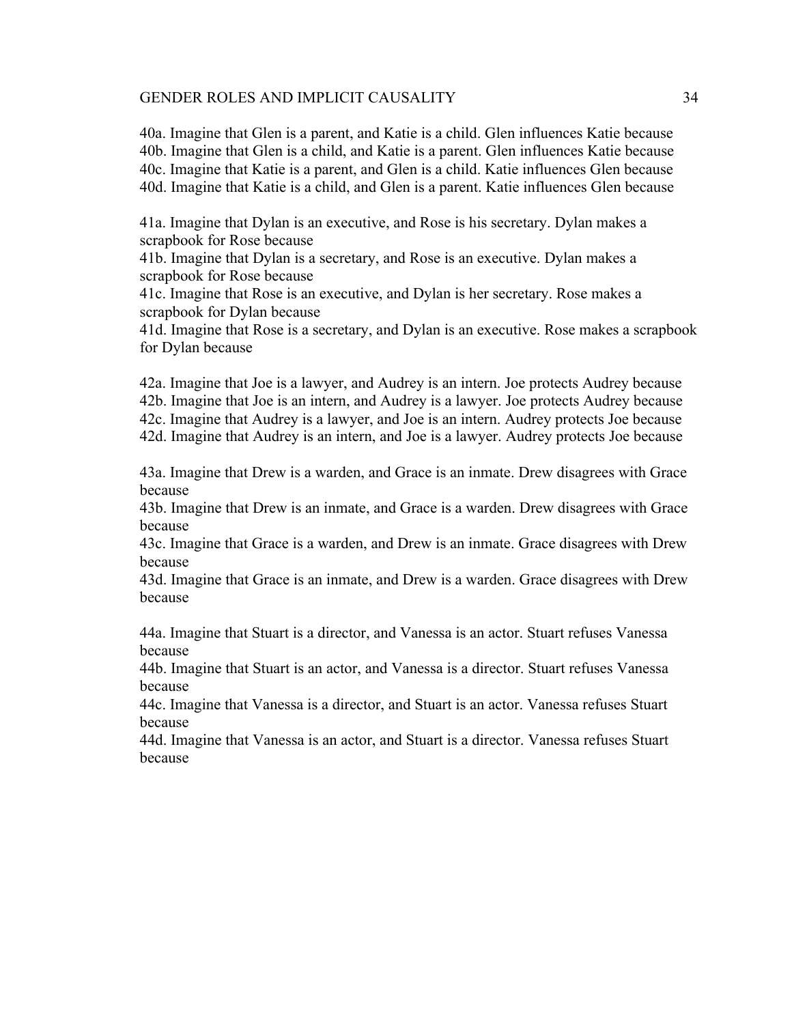40a. Imagine that Glen is a parent, and Katie is a child. Glen influences Katie because 40b. Imagine that Glen is a child, and Katie is a parent. Glen influences Katie because 40c. Imagine that Katie is a parent, and Glen is a child. Katie influences Glen because 40d. Imagine that Katie is a child, and Glen is a parent. Katie influences Glen because

41a. Imagine that Dylan is an executive, and Rose is his secretary. Dylan makes a scrapbook for Rose because

41b. Imagine that Dylan is a secretary, and Rose is an executive. Dylan makes a scrapbook for Rose because

41c. Imagine that Rose is an executive, and Dylan is her secretary. Rose makes a scrapbook for Dylan because

41d. Imagine that Rose is a secretary, and Dylan is an executive. Rose makes a scrapbook for Dylan because

42a. Imagine that Joe is a lawyer, and Audrey is an intern. Joe protects Audrey because 42b. Imagine that Joe is an intern, and Audrey is a lawyer. Joe protects Audrey because 42c. Imagine that Audrey is a lawyer, and Joe is an intern. Audrey protects Joe because 42d. Imagine that Audrey is an intern, and Joe is a lawyer. Audrey protects Joe because

43a. Imagine that Drew is a warden, and Grace is an inmate. Drew disagrees with Grace because

43b. Imagine that Drew is an inmate, and Grace is a warden. Drew disagrees with Grace because

43c. Imagine that Grace is a warden, and Drew is an inmate. Grace disagrees with Drew because

43d. Imagine that Grace is an inmate, and Drew is a warden. Grace disagrees with Drew because

44a. Imagine that Stuart is a director, and Vanessa is an actor. Stuart refuses Vanessa because

44b. Imagine that Stuart is an actor, and Vanessa is a director. Stuart refuses Vanessa because

44c. Imagine that Vanessa is a director, and Stuart is an actor. Vanessa refuses Stuart because

44d. Imagine that Vanessa is an actor, and Stuart is a director. Vanessa refuses Stuart because